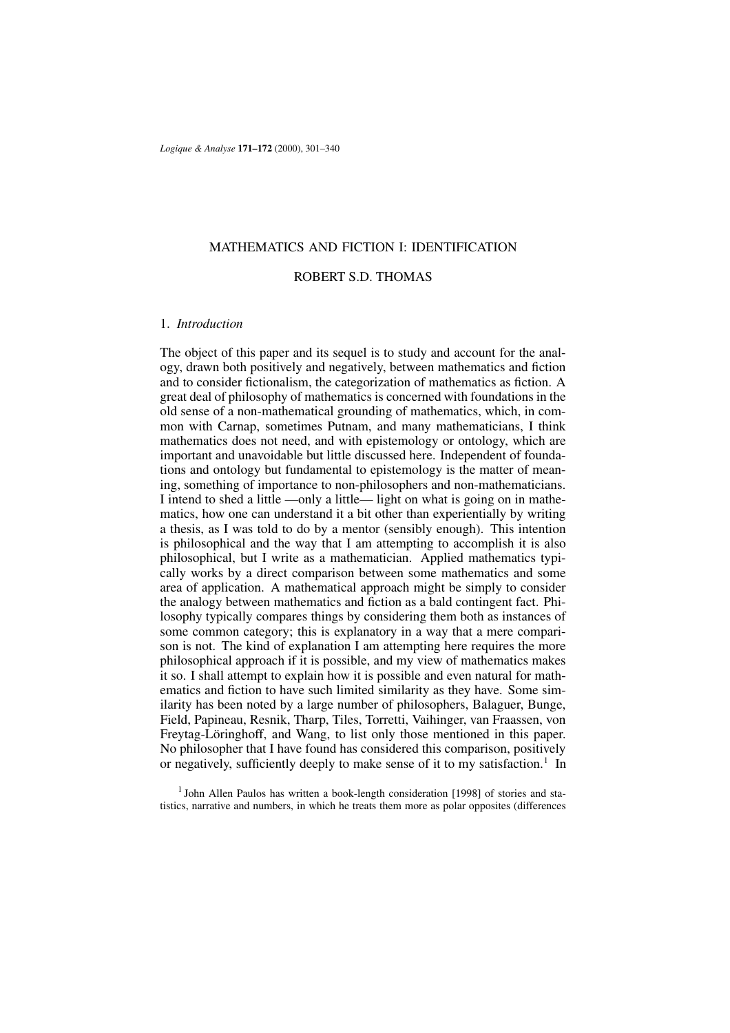## MATHEMATICS AND FICTION I: IDENTIFICATION

# ROBERT S.D. THOMAS

### 1. *Introduction*

The object of this paper and its sequel is to study and account for the analogy, drawn both positively and negatively, between mathematics and fiction and to consider fictionalism, the categorization of mathematics as fiction. A great deal of philosophy of mathematics is concerned with foundations in the old sense of a non-mathematical grounding of mathematics, which, in common with Carnap, sometimes Putnam, and many mathematicians, I think mathematics does not need, and with epistemology or ontology, which are important and unavoidable but little discussed here. Independent of foundations and ontology but fundamental to epistemology is the matter of meaning, something of importance to non-philosophers and non-mathematicians. I intend to shed a little —only a little— light on what is going on in mathematics, how one can understand it a bit other than experientially by writing a thesis, as I was told to do by a mentor (sensibly enough). This intention is philosophical and the way that I am attempting to accomplish it is also philosophical, but I write as a mathematician. Applied mathematics typically works by a direct comparison between some mathematics and some area of application. A mathematical approach might be simply to consider the analogy between mathematics and fiction as a bald contingent fact. Philosophy typically compares things by considering them both as instances of some common category; this is explanatory in a way that a mere comparison is not. The kind of explanation I am attempting here requires the more philosophical approach if it is possible, and my view of mathematics makes it so. I shall attempt to explain how it is possible and even natural for mathematics and fiction to have such limited similarity as they have. Some similarity has been noted by a large number of philosophers, Balaguer, Bunge, Field, Papineau, Resnik, Tharp, Tiles, Torretti, Vaihinger, van Fraassen, von Freytag-Löringhoff, and Wang, to list only those mentioned in this paper. No philosopher that I have found has considered this comparison, positively or negatively, sufficiently deeply to make sense of it to my satisfaction.<sup>1</sup> In

<sup>&</sup>lt;sup>1</sup> John Allen Paulos has written a book-length consideration [1998] of stories and statistics, narrative and numbers, in which he treats them more as polar opposites (differences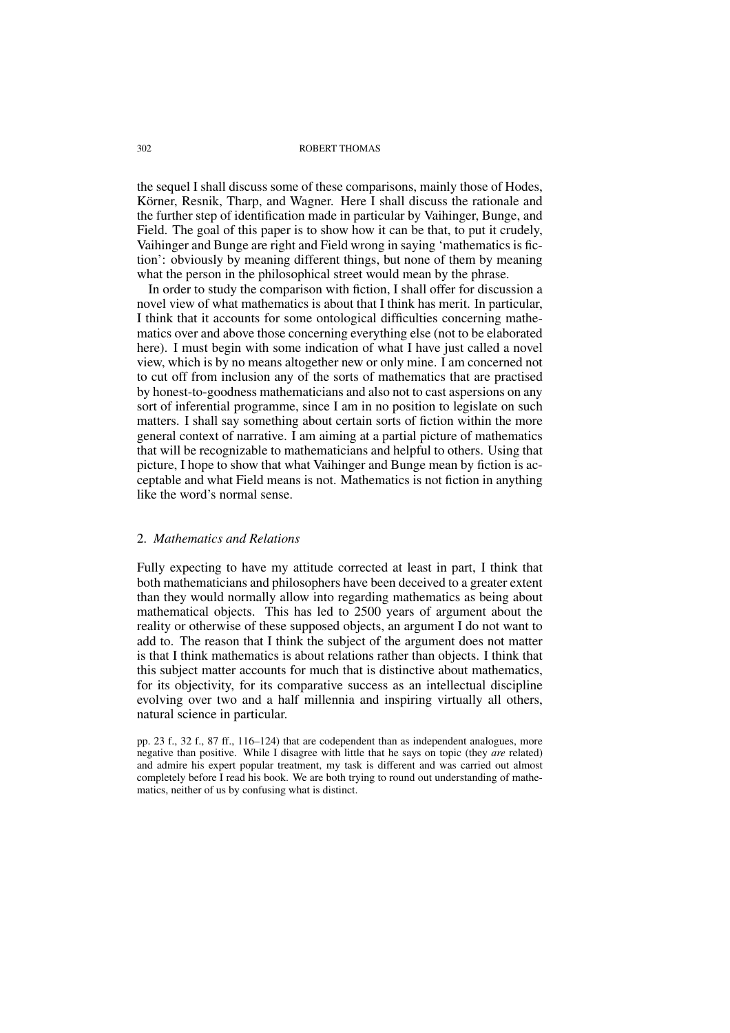the sequel I shall discuss some of these comparisons, mainly those of Hodes, Körner, Resnik, Tharp, and Wagner. Here I shall discuss the rationale and the further step of identification made in particular by Vaihinger, Bunge, and Field. The goal of this paper is to show how it can be that, to put it crudely, Vaihinger and Bunge are right and Field wrong in saying 'mathematics is fiction': obviously by meaning different things, but none of them by meaning what the person in the philosophical street would mean by the phrase.

In order to study the comparison with fiction, I shall offer for discussion a novel view of what mathematics is about that I think has merit. In particular, I think that it accounts for some ontological difficulties concerning mathematics over and above those concerning everything else (not to be elaborated here). I must begin with some indication of what I have just called a novel view, which is by no means altogether new or only mine. I am concerned not to cut off from inclusion any of the sorts of mathematics that are practised by honest-to-goodness mathematicians and also not to cast aspersions on any sort of inferential programme, since I am in no position to legislate on such matters. I shall say something about certain sorts of fiction within the more general context of narrative. I am aiming at a partial picture of mathematics that will be recognizable to mathematicians and helpful to others. Using that picture, I hope to show that what Vaihinger and Bunge mean by fiction is acceptable and what Field means is not. Mathematics is not fiction in anything like the word's normal sense.

## 2. *Mathematics and Relations*

Fully expecting to have my attitude corrected at least in part, I think that both mathematicians and philosophers have been deceived to a greater extent than they would normally allow into regarding mathematics as being about mathematical objects. This has led to 2500 years of argument about the reality or otherwise of these supposed objects, an argument I do not want to add to. The reason that I think the subject of the argument does not matter is that I think mathematics is about relations rather than objects. I think that this subject matter accounts for much that is distinctive about mathematics, for its objectivity, for its comparative success as an intellectual discipline evolving over two and a half millennia and inspiring virtually all others, natural science in particular.

pp. 23 f., 32 f., 87 ff., 116–124) that are codependent than as independent analogues, more negative than positive. While I disagree with little that he says on topic (they *are* related) and admire his expert popular treatment, my task is different and was carried out almost completely before I read his book. We are both trying to round out understanding of mathematics, neither of us by confusing what is distinct.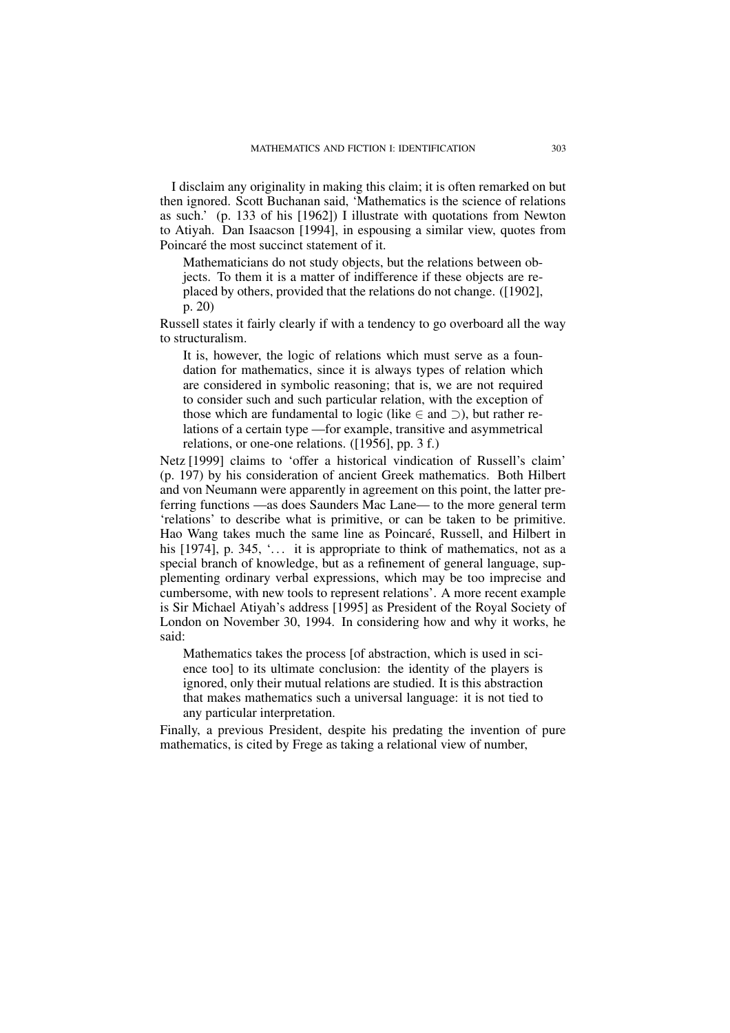I disclaim any originality in making this claim; it is often remarked on but then ignored. Scott Buchanan said, 'Mathematics is the science of relations as such.' (p. 133 of his [1962]) I illustrate with quotations from Newton to Atiyah. Dan Isaacson [1994], in espousing a similar view, quotes from Poincaré the most succinct statement of it.

Mathematicians do not study objects, but the relations between objects. To them it is a matter of indifference if these objects are replaced by others, provided that the relations do not change. ([1902], p. 20)

Russell states it fairly clearly if with a tendency to go overboard all the way to structuralism.

It is, however, the logic of relations which must serve as a foundation for mathematics, since it is always types of relation which are considered in symbolic reasoning; that is, we are not required to consider such and such particular relation, with the exception of those which are fundamental to logic (like  $\in$  and  $\supset$ ), but rather relations of a certain type —for example, transitive and asymmetrical relations, or one-one relations. ([1956], pp. 3 f.)

Netz [1999] claims to 'offer a historical vindication of Russell's claim' (p. 197) by his consideration of ancient Greek mathematics. Both Hilbert and von Neumann were apparently in agreement on this point, the latter preferring functions —as does Saunders Mac Lane— to the more general term 'relations' to describe what is primitive, or can be taken to be primitive. Hao Wang takes much the same line as Poincaré, Russell, and Hilbert in his  $[1974]$ , p. 345,  $\ldots$  it is appropriate to think of mathematics, not as a special branch of knowledge, but as a refinement of general language, supplementing ordinary verbal expressions, which may be too imprecise and cumbersome, with new tools to represent relations'. A more recent example is Sir Michael Atiyah's address [1995] as President of the Royal Society of London on November 30, 1994. In considering how and why it works, he said:

Mathematics takes the process [of abstraction, which is used in science too] to its ultimate conclusion: the identity of the players is ignored, only their mutual relations are studied. It is this abstraction that makes mathematics such a universal language: it is not tied to any particular interpretation.

Finally, a previous President, despite his predating the invention of pure mathematics, is cited by Frege as taking a relational view of number,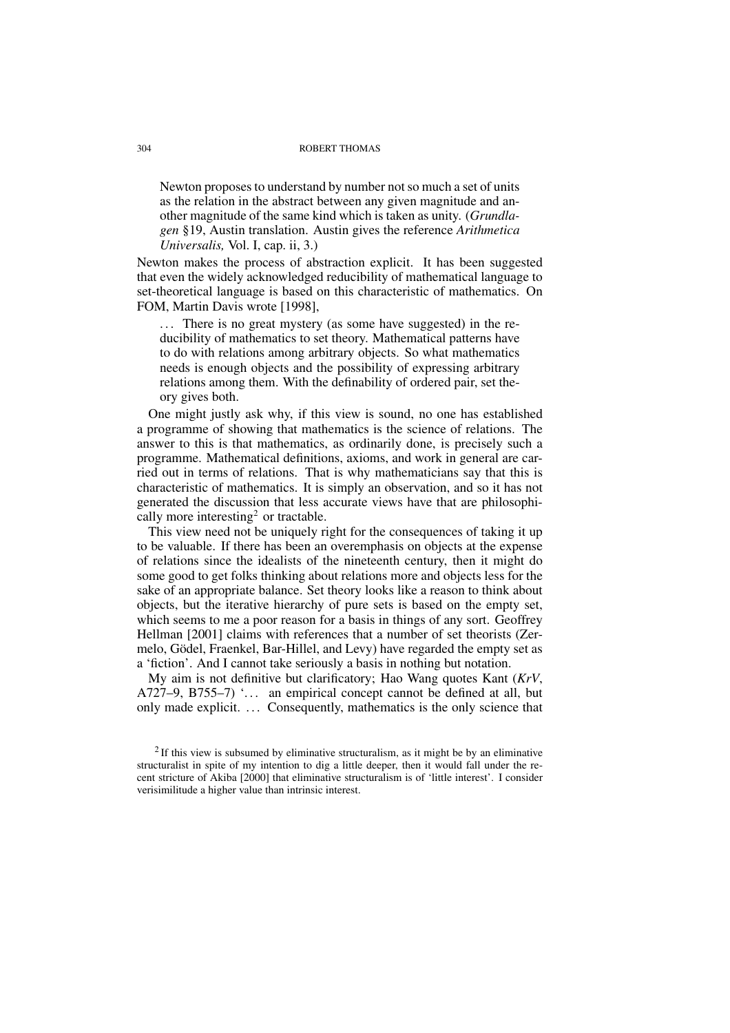Newton proposes to understand by number not so much a set of units as the relation in the abstract between any given magnitude and another magnitude of the same kind which is taken as unity. (*Grundlagen* §19, Austin translation. Austin gives the reference *Arithmetica Universalis,* Vol. I, cap. ii, 3.)

Newton makes the process of abstraction explicit. It has been suggested that even the widely acknowledged reducibility of mathematical language to set-theoretical language is based on this characteristic of mathematics. On FOM, Martin Davis wrote [1998],

... There is no great mystery (as some have suggested) in the reducibility of mathematics to set theory. Mathematical patterns have to do with relations among arbitrary objects. So what mathematics needs is enough objects and the possibility of expressing arbitrary relations among them. With the definability of ordered pair, set theory gives both.

One might justly ask why, if this view is sound, no one has established a programme of showing that mathematics is the science of relations. The answer to this is that mathematics, as ordinarily done, is precisely such a programme. Mathematical definitions, axioms, and work in general are carried out in terms of relations. That is why mathematicians say that this is characteristic of mathematics. It is simply an observation, and so it has not generated the discussion that less accurate views have that are philosophically more interesting<sup>2</sup> or tractable.

This view need not be uniquely right for the consequences of taking it up to be valuable. If there has been an overemphasis on objects at the expense of relations since the idealists of the nineteenth century, then it might do some good to get folks thinking about relations more and objects less for the sake of an appropriate balance. Set theory looks like a reason to think about objects, but the iterative hierarchy of pure sets is based on the empty set, which seems to me a poor reason for a basis in things of any sort. Geoffrey Hellman [2001] claims with references that a number of set theorists (Zermelo, Gödel, Fraenkel, Bar-Hillel, and Levy) have regarded the empty set as a 'fiction'. And I cannot take seriously a basis in nothing but notation.

My aim is not definitive but clarificatory; Hao Wang quotes Kant (*KrV*, A727–9, B755–7)  $\ldots$  an empirical concept cannot be defined at all, but only made explicit. ... Consequently, mathematics is the only science that

 $2$ If this view is subsumed by eliminative structuralism, as it might be by an eliminative structuralist in spite of my intention to dig a little deeper, then it would fall under the recent stricture of Akiba [2000] that eliminative structuralism is of 'little interest'. I consider verisimilitude a higher value than intrinsic interest.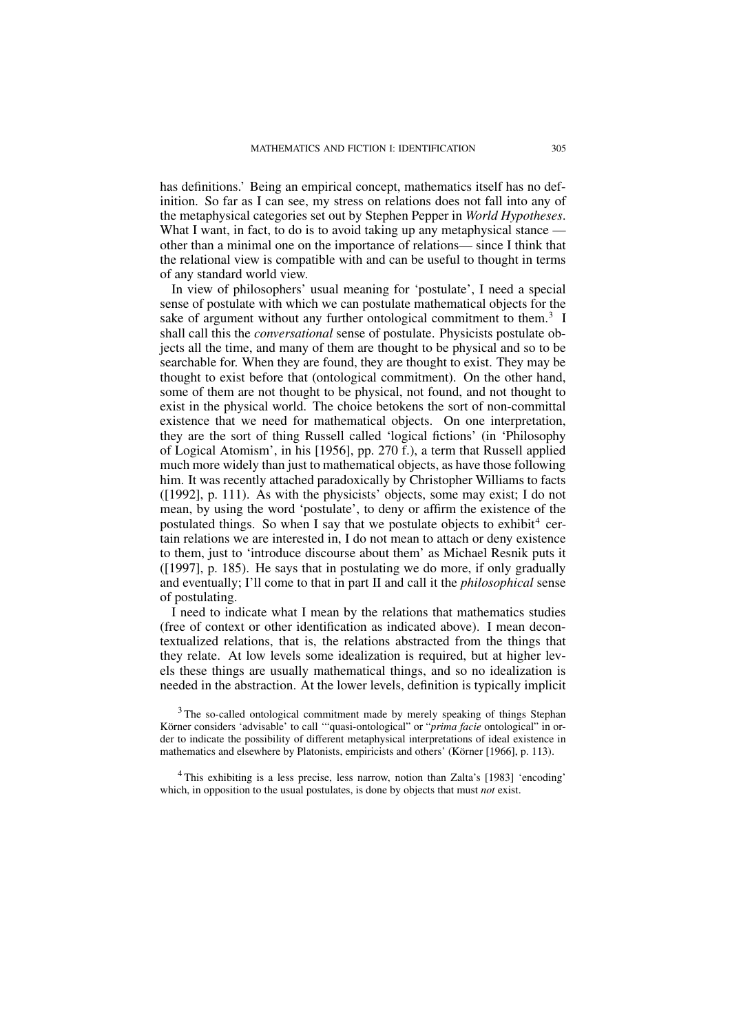has definitions.' Being an empirical concept, mathematics itself has no definition. So far as I can see, my stress on relations does not fall into any of the metaphysical categories set out by Stephen Pepper in *World Hypotheses*. What I want, in fact, to do is to avoid taking up any metaphysical stance other than a minimal one on the importance of relations— since I think that the relational view is compatible with and can be useful to thought in terms of any standard world view.

In view of philosophers' usual meaning for 'postulate', I need a special sense of postulate with which we can postulate mathematical objects for the sake of argument without any further ontological commitment to them.<sup>3</sup> I shall call this the *conversational* sense of postulate. Physicists postulate objects all the time, and many of them are thought to be physical and so to be searchable for. When they are found, they are thought to exist. They may be thought to exist before that (ontological commitment). On the other hand, some of them are not thought to be physical, not found, and not thought to exist in the physical world. The choice betokens the sort of non-committal existence that we need for mathematical objects. On one interpretation, they are the sort of thing Russell called 'logical fictions' (in 'Philosophy of Logical Atomism', in his [1956], pp. 270 f.), a term that Russell applied much more widely than just to mathematical objects, as have those following him. It was recently attached paradoxically by Christopher Williams to facts ([1992], p. 111). As with the physicists' objects, some may exist; I do not mean, by using the word 'postulate', to deny or affirm the existence of the postulated things. So when I say that we postulate objects to exhibit<sup>4</sup> certain relations we are interested in, I do not mean to attach or deny existence to them, just to 'introduce discourse about them' as Michael Resnik puts it ([1997], p. 185). He says that in postulating we do more, if only gradually and eventually; I'll come to that in part II and call it the *philosophical* sense of postulating.

I need to indicate what I mean by the relations that mathematics studies (free of context or other identification as indicated above). I mean decontextualized relations, that is, the relations abstracted from the things that they relate. At low levels some idealization is required, but at higher levels these things are usually mathematical things, and so no idealization is needed in the abstraction. At the lower levels, definition is typically implicit

<sup>3</sup> The so-called ontological commitment made by merely speaking of things Stephan Körner considers 'advisable' to call '"quasi-ontological" or "*prima facie* ontological" in order to indicate the possibility of different metaphysical interpretations of ideal existence in mathematics and elsewhere by Platonists, empiricists and others' (Körner [1966], p. 113).

<sup>4</sup> This exhibiting is a less precise, less narrow, notion than Zalta's [1983] 'encoding' which, in opposition to the usual postulates, is done by objects that must *not* exist.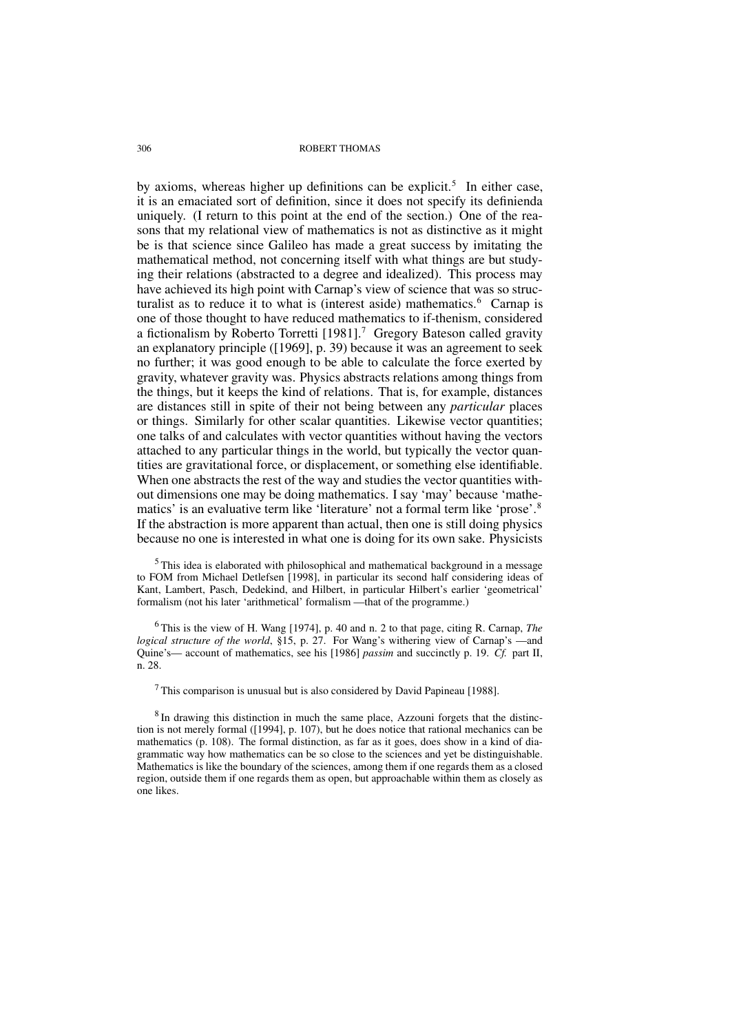by axioms, whereas higher up definitions can be explicit.<sup>5</sup> In either case, it is an emaciated sort of definition, since it does not specify its definienda uniquely. (I return to this point at the end of the section.) One of the reasons that my relational view of mathematics is not as distinctive as it might be is that science since Galileo has made a great success by imitating the mathematical method, not concerning itself with what things are but studying their relations (abstracted to a degree and idealized). This process may have achieved its high point with Carnap's view of science that was so structuralist as to reduce it to what is (interest aside) mathematics.<sup>6</sup> Carnap is one of those thought to have reduced mathematics to if-thenism, considered a fictionalism by Roberto Torretti  $[1981]$ .<sup>7</sup> Gregory Bateson called gravity an explanatory principle ([1969], p. 39) because it was an agreement to seek no further; it was good enough to be able to calculate the force exerted by gravity, whatever gravity was. Physics abstracts relations among things from the things, but it keeps the kind of relations. That is, for example, distances are distances still in spite of their not being between any *particular* places or things. Similarly for other scalar quantities. Likewise vector quantities; one talks of and calculates with vector quantities without having the vectors attached to any particular things in the world, but typically the vector quantities are gravitational force, or displacement, or something else identifiable. When one abstracts the rest of the way and studies the vector quantities without dimensions one may be doing mathematics. I say 'may' because 'mathematics' is an evaluative term like 'literature' not a formal term like 'prose'.<sup>8</sup> If the abstraction is more apparent than actual, then one is still doing physics because no one is interested in what one is doing for its own sake. Physicists

<sup>5</sup>This idea is elaborated with philosophical and mathematical background in a message to FOM from Michael Detlefsen [1998], in particular its second half considering ideas of Kant, Lambert, Pasch, Dedekind, and Hilbert, in particular Hilbert's earlier 'geometrical' formalism (not his later 'arithmetical' formalism —that of the programme.)

<sup>6</sup> This is the view of H. Wang [1974], p. 40 and n. 2 to that page, citing R. Carnap, *The logical structure of the world*, §15, p. 27. For Wang's withering view of Carnap's —and Quine's— account of mathematics, see his [1986] *passim* and succinctly p. 19. *Cf.* part II, n. 28.

 $<sup>7</sup>$  This comparison is unusual but is also considered by David Papineau [1988].</sup>

 $8$  In drawing this distinction in much the same place, Azzouni forgets that the distinction is not merely formal ([1994], p. 107), but he does notice that rational mechanics can be mathematics (p. 108). The formal distinction, as far as it goes, does show in a kind of diagrammatic way how mathematics can be so close to the sciences and yet be distinguishable. Mathematics is like the boundary of the sciences, among them if one regards them as a closed region, outside them if one regards them as open, but approachable within them as closely as one likes.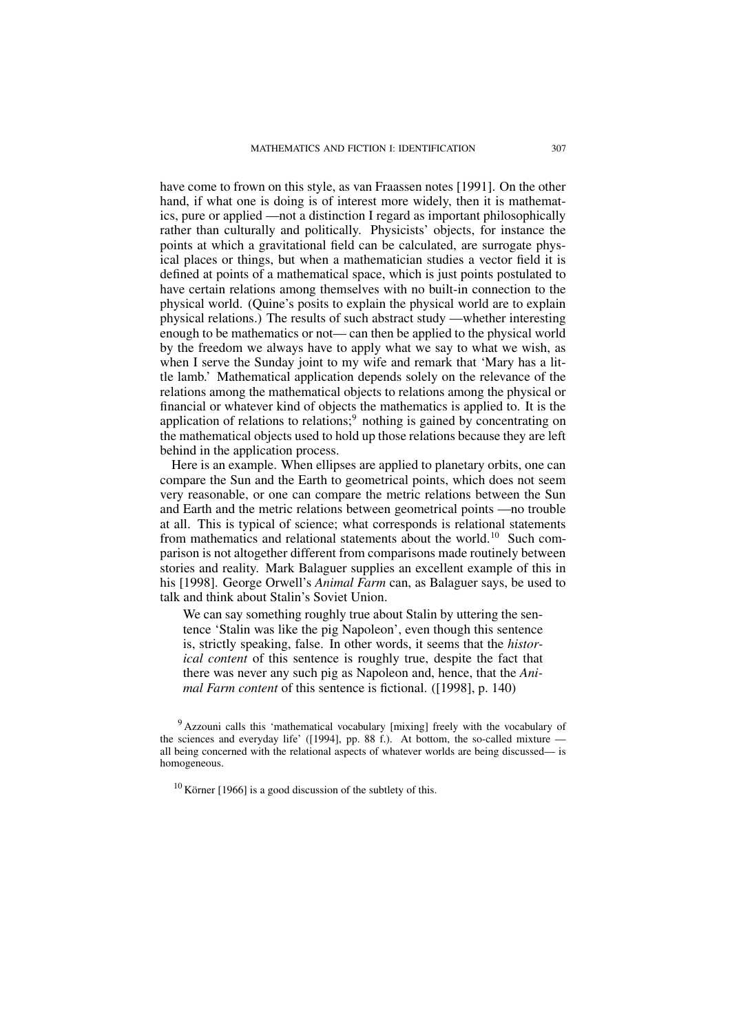have come to frown on this style, as van Fraassen notes [1991]. On the other hand, if what one is doing is of interest more widely, then it is mathematics, pure or applied —not a distinction I regard as important philosophically rather than culturally and politically. Physicists' objects, for instance the points at which a gravitational field can be calculated, are surrogate physical places or things, but when a mathematician studies a vector field it is defined at points of a mathematical space, which is just points postulated to have certain relations among themselves with no built-in connection to the physical world. (Quine's posits to explain the physical world are to explain physical relations.) The results of such abstract study —whether interesting enough to be mathematics or not— can then be applied to the physical world by the freedom we always have to apply what we say to what we wish, as when I serve the Sunday joint to my wife and remark that 'Mary has a little lamb.' Mathematical application depends solely on the relevance of the relations among the mathematical objects to relations among the physical or financial or whatever kind of objects the mathematics is applied to. It is the application of relations to relations;<sup>9</sup> nothing is gained by concentrating on the mathematical objects used to hold up those relations because they are left behind in the application process.

Here is an example. When ellipses are applied to planetary orbits, one can compare the Sun and the Earth to geometrical points, which does not seem very reasonable, or one can compare the metric relations between the Sun and Earth and the metric relations between geometrical points —no trouble at all. This is typical of science; what corresponds is relational statements from mathematics and relational statements about the world.<sup>10</sup> Such comparison is not altogether different from comparisons made routinely between stories and reality. Mark Balaguer supplies an excellent example of this in his [1998]. George Orwell's *Animal Farm* can, as Balaguer says, be used to talk and think about Stalin's Soviet Union.

We can say something roughly true about Stalin by uttering the sentence 'Stalin was like the pig Napoleon', even though this sentence is, strictly speaking, false. In other words, it seems that the *historical content* of this sentence is roughly true, despite the fact that there was never any such pig as Napoleon and, hence, that the *Animal Farm content* of this sentence is fictional. ([1998], p. 140)

<sup>&</sup>lt;sup>9</sup> Azzouni calls this 'mathematical vocabulary [mixing] freely with the vocabulary of the sciences and everyday life' ([1994], pp. 88 f.). At bottom, the so-called mixture all being concerned with the relational aspects of whatever worlds are being discussed— is homogeneous.

 $10$  Körner [1966] is a good discussion of the subtlety of this.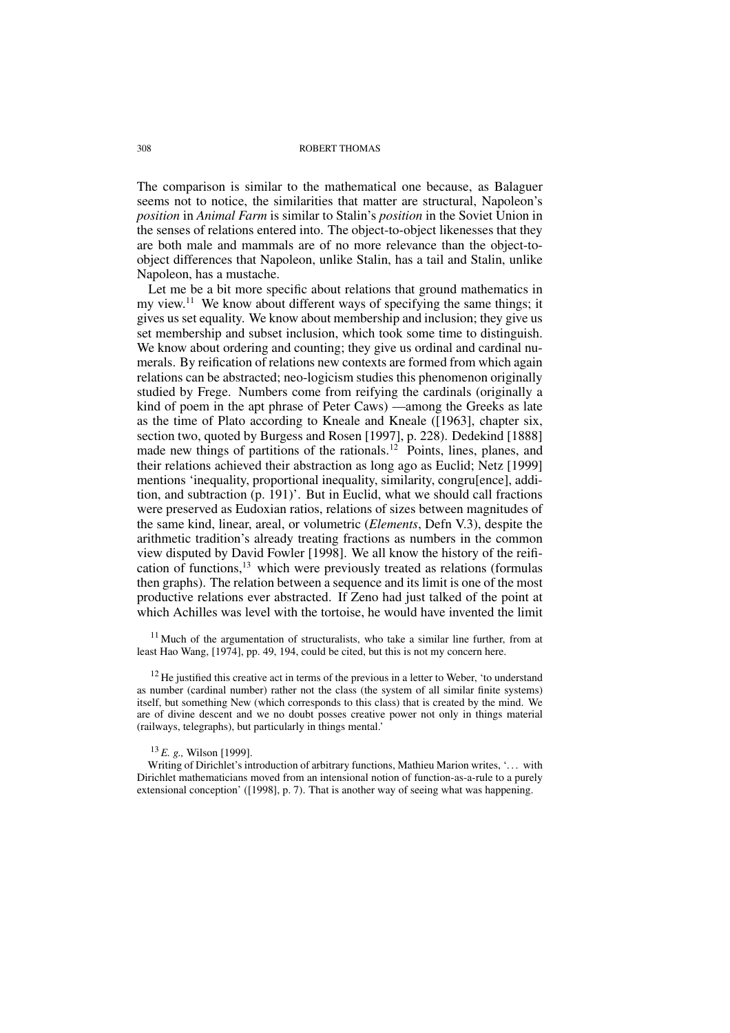The comparison is similar to the mathematical one because, as Balaguer seems not to notice, the similarities that matter are structural, Napoleon's *position* in *Animal Farm* is similar to Stalin's *position* in the Soviet Union in the senses of relations entered into. The object-to-object likenesses that they are both male and mammals are of no more relevance than the object-toobject differences that Napoleon, unlike Stalin, has a tail and Stalin, unlike Napoleon, has a mustache.

Let me be a bit more specific about relations that ground mathematics in my view.<sup>11</sup> We know about different ways of specifying the same things; it gives us set equality. We know about membership and inclusion; they give us set membership and subset inclusion, which took some time to distinguish. We know about ordering and counting; they give us ordinal and cardinal numerals. By reification of relations new contexts are formed from which again relations can be abstracted; neo-logicism studies this phenomenon originally studied by Frege. Numbers come from reifying the cardinals (originally a kind of poem in the apt phrase of Peter Caws) —among the Greeks as late as the time of Plato according to Kneale and Kneale ([1963], chapter six, section two, quoted by Burgess and Rosen [1997], p. 228). Dedekind [1888] made new things of partitions of the rationals.<sup>12</sup> Points, lines, planes, and their relations achieved their abstraction as long ago as Euclid; Netz [1999] mentions 'inequality, proportional inequality, similarity, congru[ence], addition, and subtraction (p. 191)'. But in Euclid, what we should call fractions were preserved as Eudoxian ratios, relations of sizes between magnitudes of the same kind, linear, areal, or volumetric (*Elements*, Defn V.3), despite the arithmetic tradition's already treating fractions as numbers in the common view disputed by David Fowler [1998]. We all know the history of the reification of functions,  $13$  which were previously treated as relations (formulas then graphs). The relation between a sequence and its limit is one of the most productive relations ever abstracted. If Zeno had just talked of the point at which Achilles was level with the tortoise, he would have invented the limit

 $11$  Much of the argumentation of structuralists, who take a similar line further, from at least Hao Wang, [1974], pp. 49, 194, could be cited, but this is not my concern here.

 $12$  He justified this creative act in terms of the previous in a letter to Weber, 'to understand as number (cardinal number) rather not the class (the system of all similar finite systems) itself, but something New (which corresponds to this class) that is created by the mind. We are of divine descent and we no doubt posses creative power not only in things material (railways, telegraphs), but particularly in things mental.'

<sup>13</sup> *E. g.,* Wilson [1999].

Writing of Dirichlet's introduction of arbitrary functions, Mathieu Marion writes, '... with Dirichlet mathematicians moved from an intensional notion of function-as-a-rule to a purely extensional conception' ([1998], p. 7). That is another way of seeing what was happening.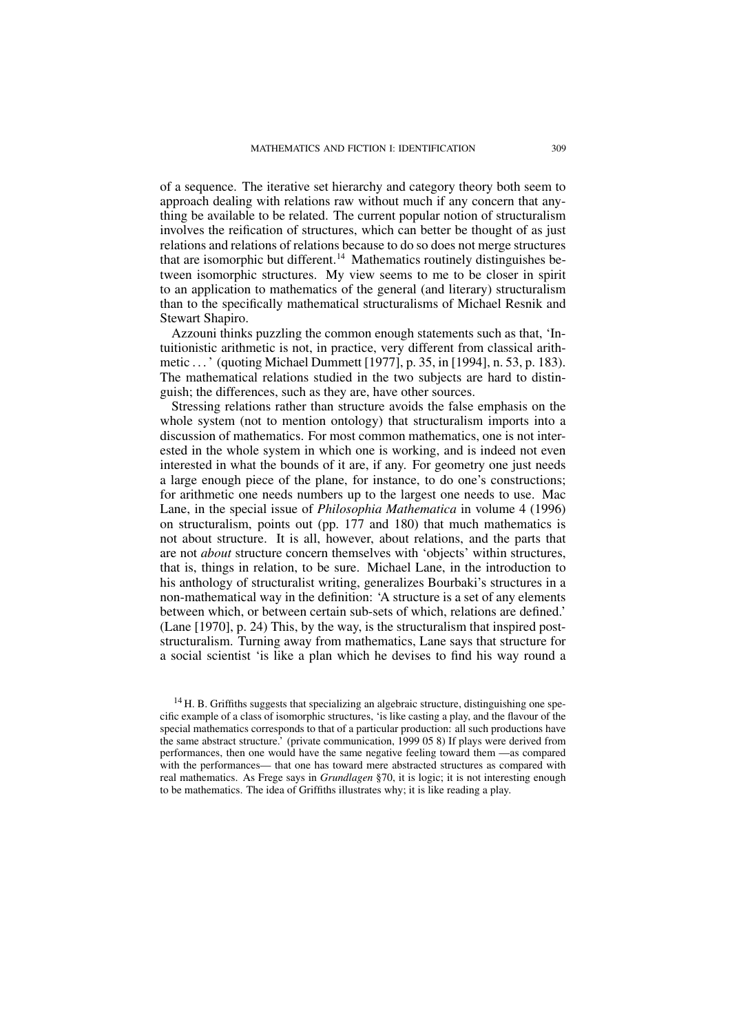of a sequence. The iterative set hierarchy and category theory both seem to approach dealing with relations raw without much if any concern that anything be available to be related. The current popular notion of structuralism involves the reification of structures, which can better be thought of as just relations and relations of relations because to do so does not merge structures that are isomorphic but different.<sup>14</sup> Mathematics routinely distinguishes between isomorphic structures. My view seems to me to be closer in spirit to an application to mathematics of the general (and literary) structuralism than to the specifically mathematical structuralisms of Michael Resnik and Stewart Shapiro.

Azzouni thinks puzzling the common enough statements such as that, 'Intuitionistic arithmetic is not, in practice, very different from classical arithmetic . . .' (quoting Michael Dummett [1977], p. 35, in [1994], n. 53, p. 183). The mathematical relations studied in the two subjects are hard to distinguish; the differences, such as they are, have other sources.

Stressing relations rather than structure avoids the false emphasis on the whole system (not to mention ontology) that structuralism imports into a discussion of mathematics. For most common mathematics, one is not interested in the whole system in which one is working, and is indeed not even interested in what the bounds of it are, if any. For geometry one just needs a large enough piece of the plane, for instance, to do one's constructions; for arithmetic one needs numbers up to the largest one needs to use. Mac Lane, in the special issue of *Philosophia Mathematica* in volume 4 (1996) on structuralism, points out (pp. 177 and 180) that much mathematics is not about structure. It is all, however, about relations, and the parts that are not *about* structure concern themselves with 'objects' within structures, that is, things in relation, to be sure. Michael Lane, in the introduction to his anthology of structuralist writing, generalizes Bourbaki's structures in a non-mathematical way in the definition: 'A structure is a set of any elements between which, or between certain sub-sets of which, relations are defined.' (Lane [1970], p. 24) This, by the way, is the structuralism that inspired poststructuralism. Turning away from mathematics, Lane says that structure for a social scientist 'is like a plan which he devises to find his way round a

 $14$  H. B. Griffiths suggests that specializing an algebraic structure, distinguishing one specific example of a class of isomorphic structures, 'is like casting a play, and the flavour of the special mathematics corresponds to that of a particular production: all such productions have the same abstract structure.' (private communication, 1999 05 8) If plays were derived from performances, then one would have the same negative feeling toward them —as compared with the performances— that one has toward mere abstracted structures as compared with real mathematics. As Frege says in *Grundlagen* §70, it is logic; it is not interesting enough to be mathematics. The idea of Griffiths illustrates why; it is like reading a play.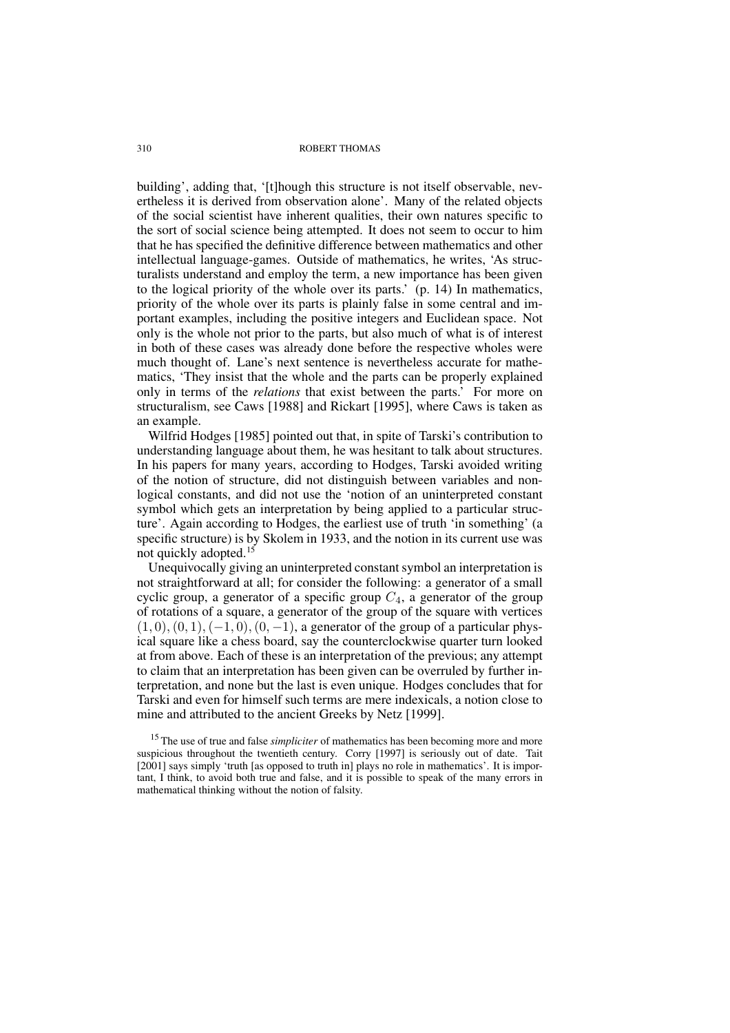building', adding that, '[t]hough this structure is not itself observable, nevertheless it is derived from observation alone'. Many of the related objects of the social scientist have inherent qualities, their own natures specific to the sort of social science being attempted. It does not seem to occur to him that he has specified the definitive difference between mathematics and other intellectual language-games. Outside of mathematics, he writes, 'As structuralists understand and employ the term, a new importance has been given to the logical priority of the whole over its parts.' (p. 14) In mathematics, priority of the whole over its parts is plainly false in some central and important examples, including the positive integers and Euclidean space. Not only is the whole not prior to the parts, but also much of what is of interest in both of these cases was already done before the respective wholes were much thought of. Lane's next sentence is nevertheless accurate for mathematics, 'They insist that the whole and the parts can be properly explained only in terms of the *relations* that exist between the parts.' For more on structuralism, see Caws [1988] and Rickart [1995], where Caws is taken as an example.

Wilfrid Hodges [1985] pointed out that, in spite of Tarski's contribution to understanding language about them, he was hesitant to talk about structures. In his papers for many years, according to Hodges, Tarski avoided writing of the notion of structure, did not distinguish between variables and nonlogical constants, and did not use the 'notion of an uninterpreted constant symbol which gets an interpretation by being applied to a particular structure'. Again according to Hodges, the earliest use of truth 'in something' (a specific structure) is by Skolem in 1933, and the notion in its current use was not quickly adopted.<sup>15</sup>

Unequivocally giving an uninterpreted constant symbol an interpretation is not straightforward at all; for consider the following: a generator of a small cyclic group, a generator of a specific group  $C_4$ , a generator of the group of rotations of a square, a generator of the group of the square with vertices  $(1, 0), (0, 1), (-1, 0), (0, -1)$ , a generator of the group of a particular physical square like a chess board, say the counterclockwise quarter turn looked at from above. Each of these is an interpretation of the previous; any attempt to claim that an interpretation has been given can be overruled by further interpretation, and none but the last is even unique. Hodges concludes that for Tarski and even for himself such terms are mere indexicals, a notion close to mine and attributed to the ancient Greeks by Netz [1999].

<sup>&</sup>lt;sup>15</sup> The use of true and false *simpliciter* of mathematics has been becoming more and more suspicious throughout the twentieth century. Corry [1997] is seriously out of date. Tait [2001] says simply 'truth [as opposed to truth in] plays no role in mathematics'. It is important, I think, to avoid both true and false, and it is possible to speak of the many errors in mathematical thinking without the notion of falsity.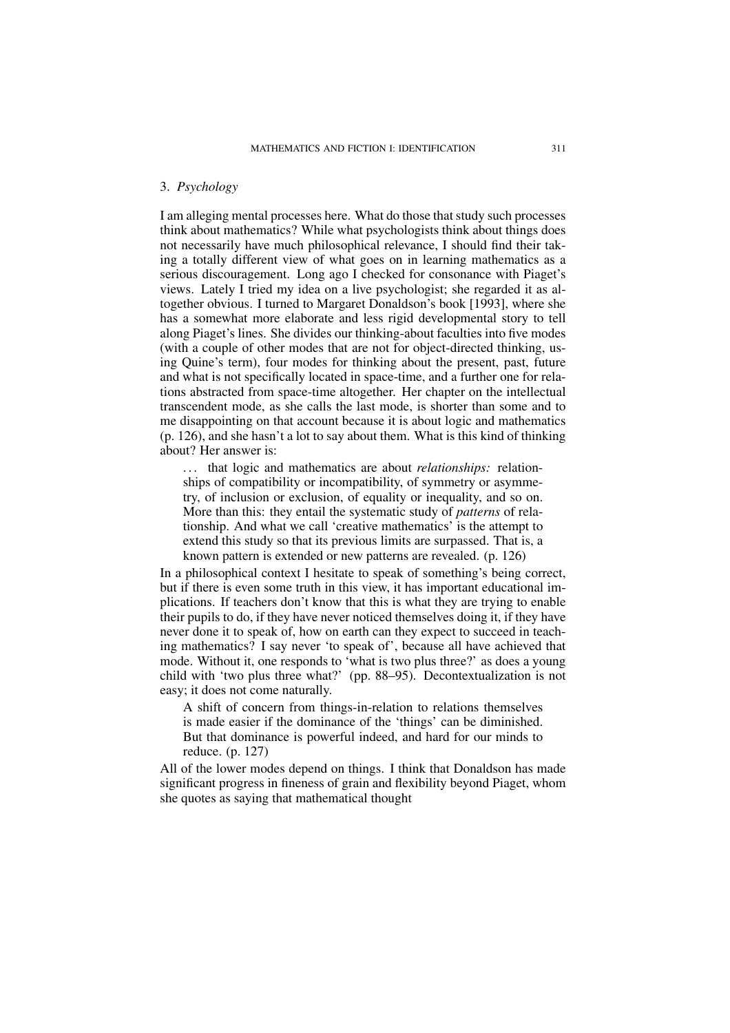## 3. *Psychology*

I am alleging mental processes here. What do those that study such processes think about mathematics? While what psychologists think about things does not necessarily have much philosophical relevance, I should find their taking a totally different view of what goes on in learning mathematics as a serious discouragement. Long ago I checked for consonance with Piaget's views. Lately I tried my idea on a live psychologist; she regarded it as altogether obvious. I turned to Margaret Donaldson's book [1993], where she has a somewhat more elaborate and less rigid developmental story to tell along Piaget's lines. She divides our thinking-about faculties into five modes (with a couple of other modes that are not for object-directed thinking, using Quine's term), four modes for thinking about the present, past, future and what is not specifically located in space-time, and a further one for relations abstracted from space-time altogether. Her chapter on the intellectual transcendent mode, as she calls the last mode, is shorter than some and to me disappointing on that account because it is about logic and mathematics (p. 126), and she hasn't a lot to say about them. What is this kind of thinking about? Her answer is:

. . . that logic and mathematics are about *relationships:* relationships of compatibility or incompatibility, of symmetry or asymmetry, of inclusion or exclusion, of equality or inequality, and so on. More than this: they entail the systematic study of *patterns* of relationship. And what we call 'creative mathematics' is the attempt to extend this study so that its previous limits are surpassed. That is, a known pattern is extended or new patterns are revealed. (p. 126)

In a philosophical context I hesitate to speak of something's being correct, but if there is even some truth in this view, it has important educational implications. If teachers don't know that this is what they are trying to enable their pupils to do, if they have never noticed themselves doing it, if they have never done it to speak of, how on earth can they expect to succeed in teaching mathematics? I say never 'to speak of', because all have achieved that mode. Without it, one responds to 'what is two plus three?' as does a young child with 'two plus three what?' (pp. 88–95). Decontextualization is not easy; it does not come naturally.

A shift of concern from things-in-relation to relations themselves is made easier if the dominance of the 'things' can be diminished. But that dominance is powerful indeed, and hard for our minds to reduce. (p. 127)

All of the lower modes depend on things. I think that Donaldson has made significant progress in fineness of grain and flexibility beyond Piaget, whom she quotes as saying that mathematical thought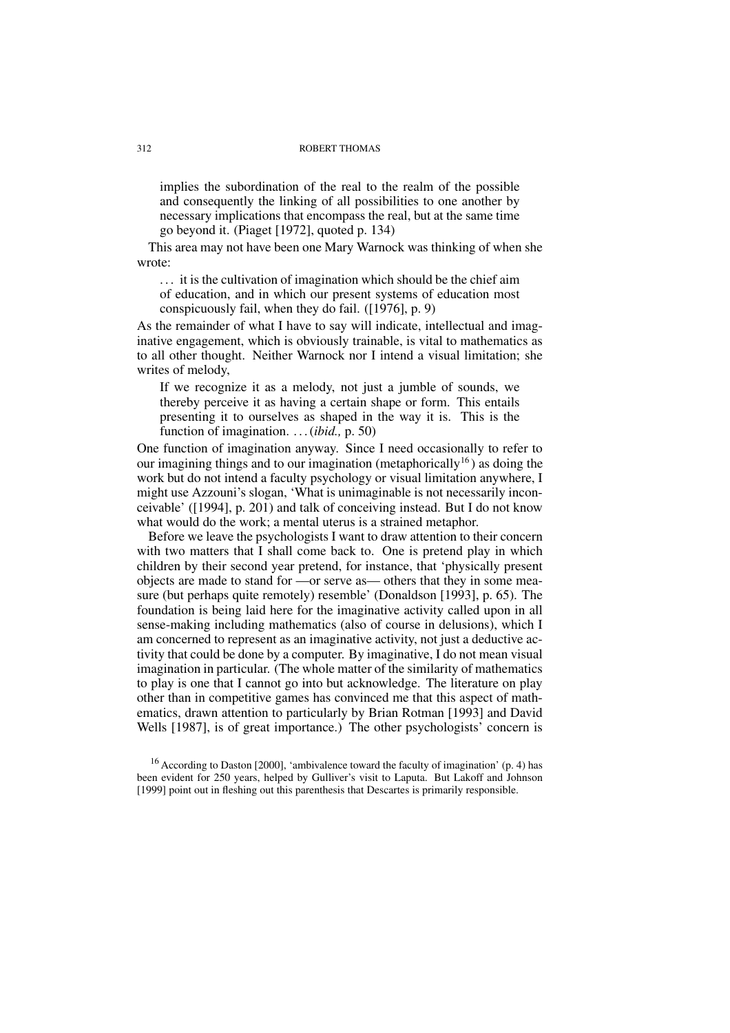implies the subordination of the real to the realm of the possible and consequently the linking of all possibilities to one another by necessary implications that encompass the real, but at the same time go beyond it. (Piaget [1972], quoted p. 134)

This area may not have been one Mary Warnock was thinking of when she wrote:

. . . it is the cultivation of imagination which should be the chief aim of education, and in which our present systems of education most conspicuously fail, when they do fail. ([1976], p. 9)

As the remainder of what I have to say will indicate, intellectual and imaginative engagement, which is obviously trainable, is vital to mathematics as to all other thought. Neither Warnock nor I intend a visual limitation; she writes of melody,

If we recognize it as a melody, not just a jumble of sounds, we thereby perceive it as having a certain shape or form. This entails presenting it to ourselves as shaped in the way it is. This is the function of imagination. . . .(*ibid.,* p. 50)

One function of imagination anyway. Since I need occasionally to refer to our imagining things and to our imagination (metaphorically<sup>16</sup>) as doing the work but do not intend a faculty psychology or visual limitation anywhere, I might use Azzouni's slogan, 'What is unimaginable is not necessarily inconceivable' ([1994], p. 201) and talk of conceiving instead. But I do not know what would do the work; a mental uterus is a strained metaphor.

Before we leave the psychologists I want to draw attention to their concern with two matters that I shall come back to. One is pretend play in which children by their second year pretend, for instance, that 'physically present objects are made to stand for —or serve as— others that they in some measure (but perhaps quite remotely) resemble' (Donaldson [1993], p. 65). The foundation is being laid here for the imaginative activity called upon in all sense-making including mathematics (also of course in delusions), which I am concerned to represent as an imaginative activity, not just a deductive activity that could be done by a computer. By imaginative, I do not mean visual imagination in particular. (The whole matter of the similarity of mathematics to play is one that I cannot go into but acknowledge. The literature on play other than in competitive games has convinced me that this aspect of mathematics, drawn attention to particularly by Brian Rotman [1993] and David Wells [1987], is of great importance.) The other psychologists' concern is

<sup>&</sup>lt;sup>16</sup> According to Daston [2000], 'ambivalence toward the faculty of imagination' (p. 4) has been evident for 250 years, helped by Gulliver's visit to Laputa. But Lakoff and Johnson [1999] point out in fleshing out this parenthesis that Descartes is primarily responsible.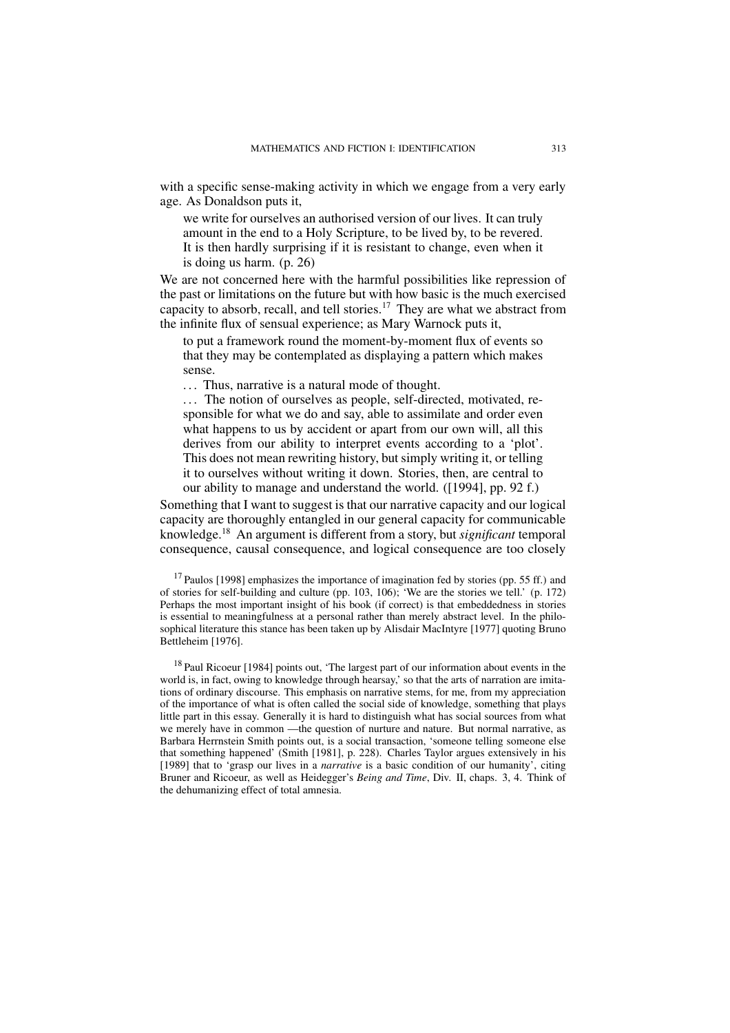with a specific sense-making activity in which we engage from a very early age. As Donaldson puts it,

we write for ourselves an authorised version of our lives. It can truly amount in the end to a Holy Scripture, to be lived by, to be revered. It is then hardly surprising if it is resistant to change, even when it is doing us harm. (p. 26)

We are not concerned here with the harmful possibilities like repression of the past or limitations on the future but with how basic is the much exercised capacity to absorb, recall, and tell stories.<sup>17</sup> They are what we abstract from the infinite flux of sensual experience; as Mary Warnock puts it,

to put a framework round the moment-by-moment flux of events so that they may be contemplated as displaying a pattern which makes sense.

. . . Thus, narrative is a natural mode of thought.

... The notion of ourselves as people, self-directed, motivated, responsible for what we do and say, able to assimilate and order even what happens to us by accident or apart from our own will, all this derives from our ability to interpret events according to a 'plot'. This does not mean rewriting history, but simply writing it, or telling it to ourselves without writing it down. Stories, then, are central to our ability to manage and understand the world. ([1994], pp. 92 f.)

Something that I want to suggest is that our narrative capacity and our logical capacity are thoroughly entangled in our general capacity for communicable knowledge.<sup>18</sup> An argument is different from a story, but *significant* temporal consequence, causal consequence, and logical consequence are too closely

<sup>17</sup> Paulos [1998] emphasizes the importance of imagination fed by stories (pp. 55 ff.) and of stories for self-building and culture (pp. 103, 106); 'We are the stories we tell.' (p. 172) Perhaps the most important insight of his book (if correct) is that embeddedness in stories is essential to meaningfulness at a personal rather than merely abstract level. In the philosophical literature this stance has been taken up by Alisdair MacIntyre [1977] quoting Bruno Bettleheim [1976].

<sup>18</sup> Paul Ricoeur [1984] points out, 'The largest part of our information about events in the world is, in fact, owing to knowledge through hearsay,' so that the arts of narration are imitations of ordinary discourse. This emphasis on narrative stems, for me, from my appreciation of the importance of what is often called the social side of knowledge, something that plays little part in this essay. Generally it is hard to distinguish what has social sources from what we merely have in common —the question of nurture and nature. But normal narrative, as Barbara Herrnstein Smith points out, is a social transaction, 'someone telling someone else that something happened' (Smith [1981], p. 228). Charles Taylor argues extensively in his [1989] that to 'grasp our lives in a *narrative* is a basic condition of our humanity', citing Bruner and Ricoeur, as well as Heidegger's *Being and Time*, Div. II, chaps. 3, 4. Think of the dehumanizing effect of total amnesia.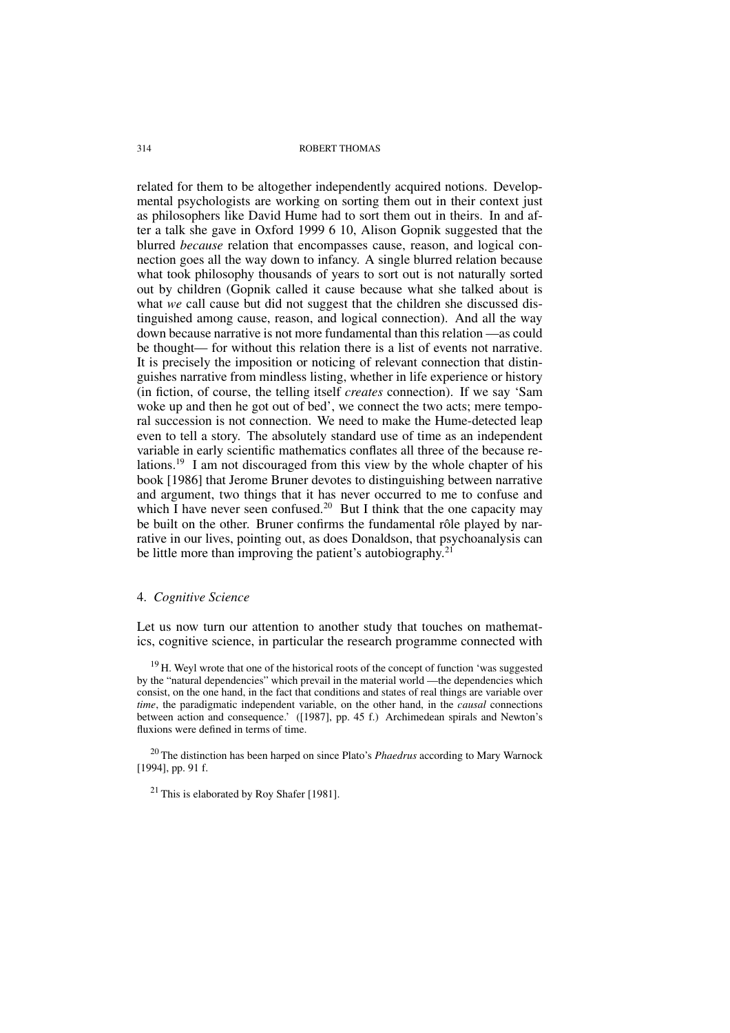related for them to be altogether independently acquired notions. Developmental psychologists are working on sorting them out in their context just as philosophers like David Hume had to sort them out in theirs. In and after a talk she gave in Oxford 1999 6 10, Alison Gopnik suggested that the blurred *because* relation that encompasses cause, reason, and logical connection goes all the way down to infancy. A single blurred relation because what took philosophy thousands of years to sort out is not naturally sorted out by children (Gopnik called it cause because what she talked about is what *we* call cause but did not suggest that the children she discussed distinguished among cause, reason, and logical connection). And all the way down because narrative is not more fundamental than this relation —as could be thought— for without this relation there is a list of events not narrative. It is precisely the imposition or noticing of relevant connection that distinguishes narrative from mindless listing, whether in life experience or history (in fiction, of course, the telling itself *creates* connection). If we say 'Sam woke up and then he got out of bed', we connect the two acts; mere temporal succession is not connection. We need to make the Hume-detected leap even to tell a story. The absolutely standard use of time as an independent variable in early scientific mathematics conflates all three of the because relations.<sup>19</sup> I am not discouraged from this view by the whole chapter of his book [1986] that Jerome Bruner devotes to distinguishing between narrative and argument, two things that it has never occurred to me to confuse and which I have never seen confused.<sup>20</sup> But I think that the one capacity may be built on the other. Bruner confirms the fundamental rôle played by narrative in our lives, pointing out, as does Donaldson, that psychoanalysis can be little more than improving the patient's autobiography.<sup>21</sup>

### 4. *Cognitive Science*

Let us now turn our attention to another study that touches on mathematics, cognitive science, in particular the research programme connected with

 $19$  H. Weyl wrote that one of the historical roots of the concept of function 'was suggested by the "natural dependencies" which prevail in the material world —the dependencies which consist, on the one hand, in the fact that conditions and states of real things are variable over *time*, the paradigmatic independent variable, on the other hand, in the *causal* connections between action and consequence.' ([1987], pp. 45 f.) Archimedean spirals and Newton's fluxions were defined in terms of time.

<sup>20</sup> The distinction has been harped on since Plato's *Phaedrus* according to Mary Warnock [1994], pp. 91 f.

 $21$  This is elaborated by Roy Shafer [1981].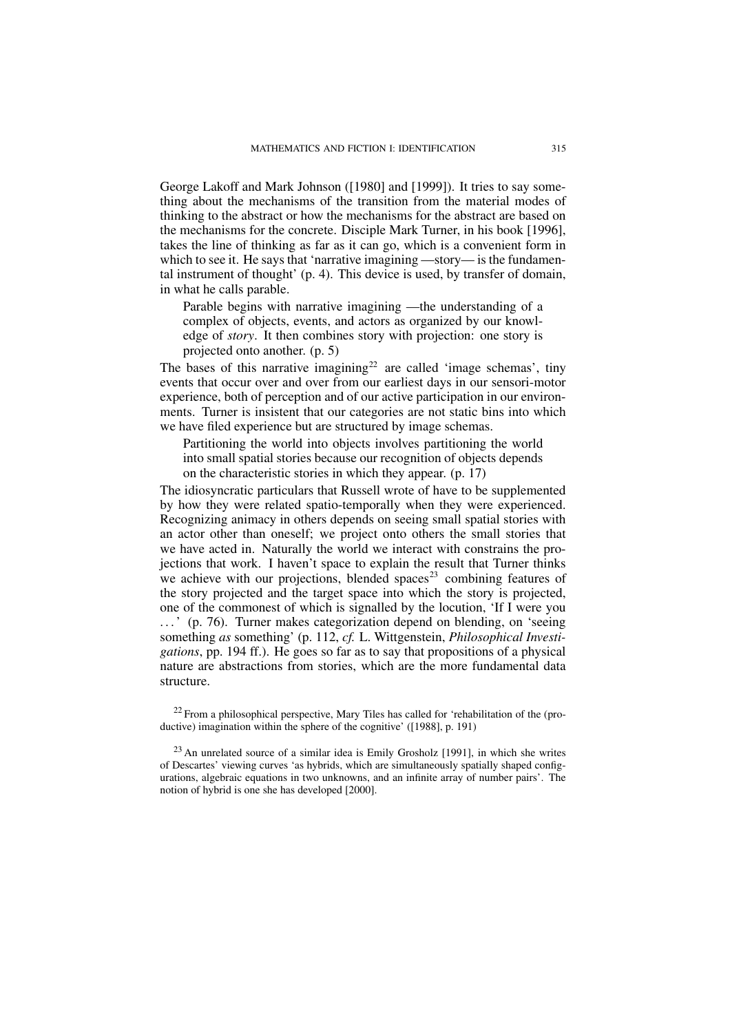George Lakoff and Mark Johnson ([1980] and [1999]). It tries to say something about the mechanisms of the transition from the material modes of thinking to the abstract or how the mechanisms for the abstract are based on the mechanisms for the concrete. Disciple Mark Turner, in his book [1996], takes the line of thinking as far as it can go, which is a convenient form in which to see it. He says that 'narrative imagining —story— is the fundamental instrument of thought' (p. 4). This device is used, by transfer of domain, in what he calls parable.

Parable begins with narrative imagining —the understanding of a complex of objects, events, and actors as organized by our knowledge of *story*. It then combines story with projection: one story is projected onto another. (p. 5)

The bases of this narrative imagining<sup>22</sup> are called 'image schemas', tiny events that occur over and over from our earliest days in our sensori-motor experience, both of perception and of our active participation in our environments. Turner is insistent that our categories are not static bins into which we have filed experience but are structured by image schemas.

Partitioning the world into objects involves partitioning the world into small spatial stories because our recognition of objects depends on the characteristic stories in which they appear. (p. 17)

The idiosyncratic particulars that Russell wrote of have to be supplemented by how they were related spatio-temporally when they were experienced. Recognizing animacy in others depends on seeing small spatial stories with an actor other than oneself; we project onto others the small stories that we have acted in. Naturally the world we interact with constrains the projections that work. I haven't space to explain the result that Turner thinks we achieve with our projections, blended spaces<sup>23</sup> combining features of the story projected and the target space into which the story is projected, one of the commonest of which is signalled by the locution, 'If I were you ...' (p. 76). Turner makes categorization depend on blending, on 'seeing something *as* something' (p. 112, *cf.* L. Wittgenstein, *Philosophical Investigations*, pp. 194 ff.). He goes so far as to say that propositions of a physical nature are abstractions from stories, which are the more fundamental data structure.

 $22$  From a philosophical perspective, Mary Tiles has called for 'rehabilitation of the (productive) imagination within the sphere of the cognitive' ([1988], p. 191)

 $23$  An unrelated source of a similar idea is Emily Grosholz [1991], in which she writes of Descartes' viewing curves 'as hybrids, which are simultaneously spatially shaped configurations, algebraic equations in two unknowns, and an infinite array of number pairs'. The notion of hybrid is one she has developed [2000].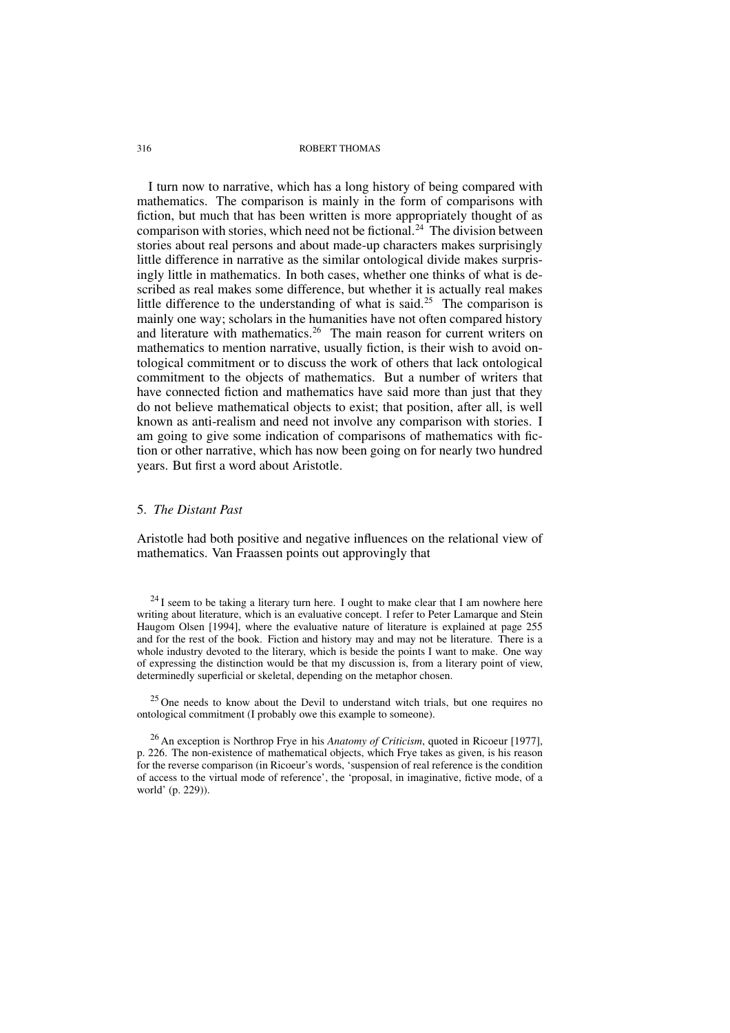I turn now to narrative, which has a long history of being compared with mathematics. The comparison is mainly in the form of comparisons with fiction, but much that has been written is more appropriately thought of as comparison with stories, which need not be fictional.<sup>24</sup> The division between stories about real persons and about made-up characters makes surprisingly little difference in narrative as the similar ontological divide makes surprisingly little in mathematics. In both cases, whether one thinks of what is described as real makes some difference, but whether it is actually real makes little difference to the understanding of what is said.<sup>25</sup> The comparison is mainly one way; scholars in the humanities have not often compared history and literature with mathematics.<sup>26</sup> The main reason for current writers on mathematics to mention narrative, usually fiction, is their wish to avoid ontological commitment or to discuss the work of others that lack ontological commitment to the objects of mathematics. But a number of writers that have connected fiction and mathematics have said more than just that they do not believe mathematical objects to exist; that position, after all, is well known as anti-realism and need not involve any comparison with stories. I am going to give some indication of comparisons of mathematics with fiction or other narrative, which has now been going on for nearly two hundred years. But first a word about Aristotle.

### 5. *The Distant Past*

Aristotle had both positive and negative influences on the relational view of mathematics. Van Fraassen points out approvingly that

 $^{24}$ I seem to be taking a literary turn here. I ought to make clear that I am nowhere here writing about literature, which is an evaluative concept. I refer to Peter Lamarque and Stein Haugom Olsen [1994], where the evaluative nature of literature is explained at page 255 and for the rest of the book. Fiction and history may and may not be literature. There is a whole industry devoted to the literary, which is beside the points I want to make. One way of expressing the distinction would be that my discussion is, from a literary point of view, determinedly superficial or skeletal, depending on the metaphor chosen.

<sup>25</sup> One needs to know about the Devil to understand witch trials, but one requires no ontological commitment (I probably owe this example to someone).

<sup>26</sup> An exception is Northrop Frye in his *Anatomy of Criticism*, quoted in Ricoeur [1977], p. 226. The non-existence of mathematical objects, which Frye takes as given, is his reason for the reverse comparison (in Ricoeur's words, 'suspension of real reference is the condition of access to the virtual mode of reference', the 'proposal, in imaginative, fictive mode, of a world' (p. 229)).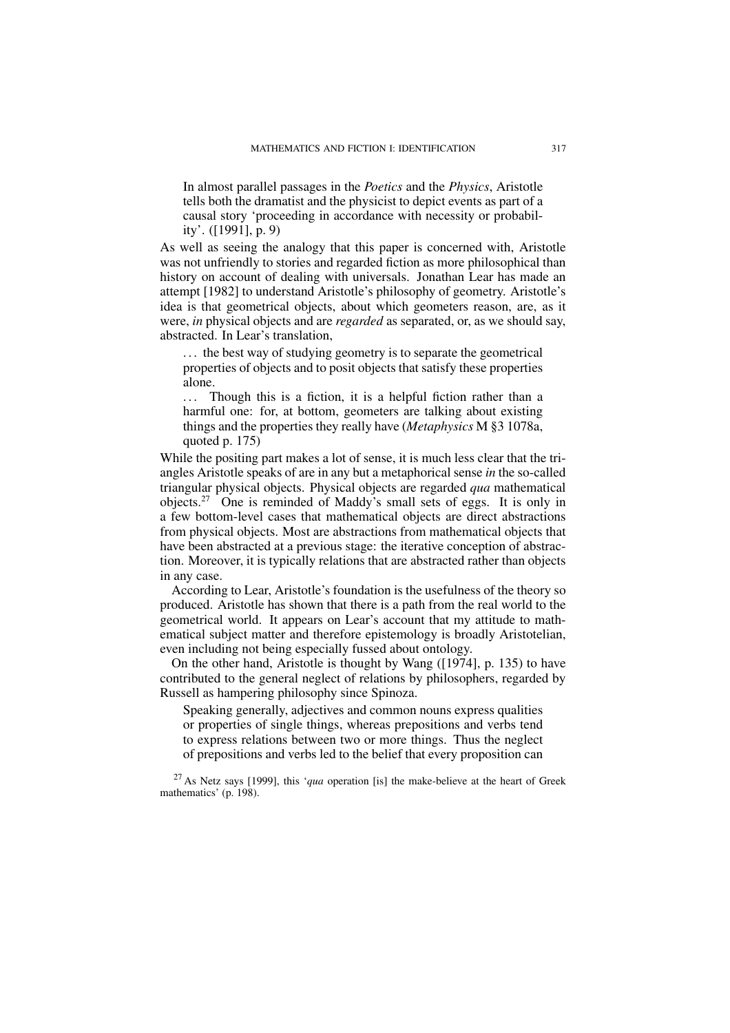In almost parallel passages in the *Poetics* and the *Physics*, Aristotle tells both the dramatist and the physicist to depict events as part of a causal story 'proceeding in accordance with necessity or probability'. ([1991], p. 9)

As well as seeing the analogy that this paper is concerned with, Aristotle was not unfriendly to stories and regarded fiction as more philosophical than history on account of dealing with universals. Jonathan Lear has made an attempt [1982] to understand Aristotle's philosophy of geometry. Aristotle's idea is that geometrical objects, about which geometers reason, are, as it were, *in* physical objects and are *regarded* as separated, or, as we should say, abstracted. In Lear's translation,

... the best way of studying geometry is to separate the geometrical properties of objects and to posit objects that satisfy these properties alone.

... Though this is a fiction, it is a helpful fiction rather than a harmful one: for, at bottom, geometers are talking about existing things and the properties they really have (*Metaphysics* M §3 1078a, quoted p. 175)

While the positing part makes a lot of sense, it is much less clear that the triangles Aristotle speaks of are in any but a metaphorical sense *in* the so-called triangular physical objects. Physical objects are regarded *qua* mathematical objects.<sup>27</sup> One is reminded of Maddy's small sets of eggs. It is only in a few bottom-level cases that mathematical objects are direct abstractions from physical objects. Most are abstractions from mathematical objects that have been abstracted at a previous stage: the iterative conception of abstraction. Moreover, it is typically relations that are abstracted rather than objects in any case.

According to Lear, Aristotle's foundation is the usefulness of the theory so produced. Aristotle has shown that there is a path from the real world to the geometrical world. It appears on Lear's account that my attitude to mathematical subject matter and therefore epistemology is broadly Aristotelian, even including not being especially fussed about ontology.

On the other hand, Aristotle is thought by Wang ([1974], p. 135) to have contributed to the general neglect of relations by philosophers, regarded by Russell as hampering philosophy since Spinoza.

Speaking generally, adjectives and common nouns express qualities or properties of single things, whereas prepositions and verbs tend to express relations between two or more things. Thus the neglect of prepositions and verbs led to the belief that every proposition can

<sup>27</sup> As Netz says [1999], this '*qua* operation [is] the make-believe at the heart of Greek mathematics' (p. 198).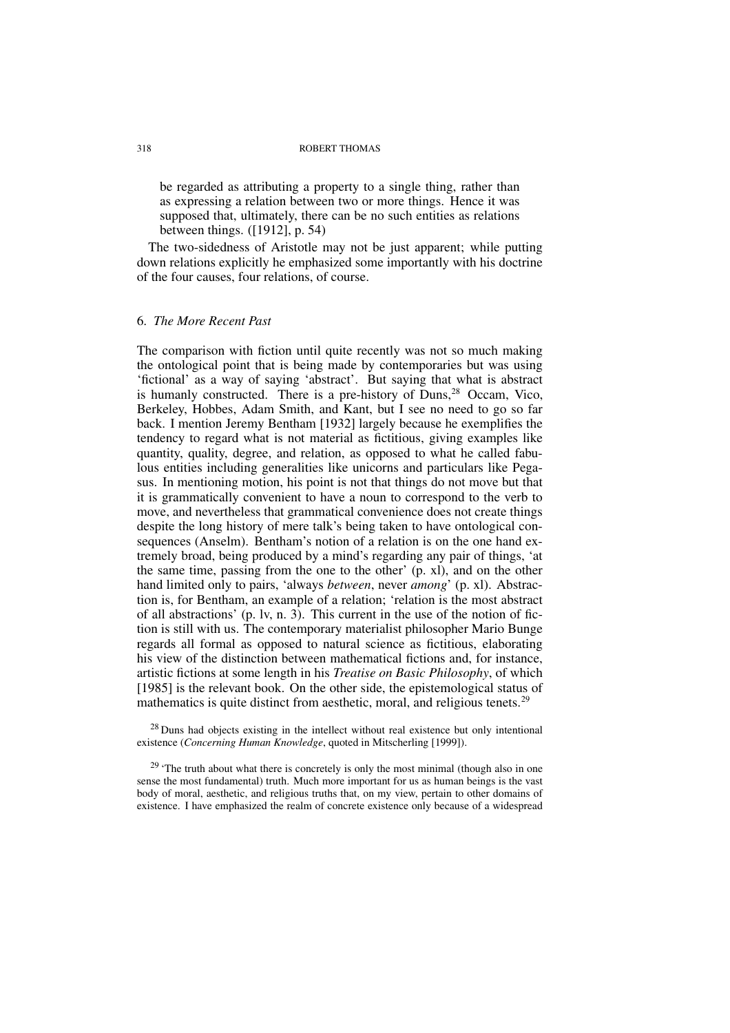be regarded as attributing a property to a single thing, rather than as expressing a relation between two or more things. Hence it was supposed that, ultimately, there can be no such entities as relations between things. ([1912], p. 54)

The two-sidedness of Aristotle may not be just apparent; while putting down relations explicitly he emphasized some importantly with his doctrine of the four causes, four relations, of course.

## 6. *The More Recent Past*

The comparison with fiction until quite recently was not so much making the ontological point that is being made by contemporaries but was using 'fictional' as a way of saying 'abstract'. But saying that what is abstract is humanly constructed. There is a pre-history of Duns,<sup>28</sup> Occam, Vico, Berkeley, Hobbes, Adam Smith, and Kant, but I see no need to go so far back. I mention Jeremy Bentham [1932] largely because he exemplifies the tendency to regard what is not material as fictitious, giving examples like quantity, quality, degree, and relation, as opposed to what he called fabulous entities including generalities like unicorns and particulars like Pegasus. In mentioning motion, his point is not that things do not move but that it is grammatically convenient to have a noun to correspond to the verb to move, and nevertheless that grammatical convenience does not create things despite the long history of mere talk's being taken to have ontological consequences (Anselm). Bentham's notion of a relation is on the one hand extremely broad, being produced by a mind's regarding any pair of things, 'at the same time, passing from the one to the other' (p. xl), and on the other hand limited only to pairs, 'always *between*, never *among*' (p. xl). Abstraction is, for Bentham, an example of a relation; 'relation is the most abstract of all abstractions' (p. lv, n. 3). This current in the use of the notion of fiction is still with us. The contemporary materialist philosopher Mario Bunge regards all formal as opposed to natural science as fictitious, elaborating his view of the distinction between mathematical fictions and, for instance, artistic fictions at some length in his *Treatise on Basic Philosophy*, of which [1985] is the relevant book. On the other side, the epistemological status of mathematics is quite distinct from aesthetic, moral, and religious tenets.<sup>29</sup>

 $28$  Duns had objects existing in the intellect without real existence but only intentional existence (*Concerning Human Knowledge*, quoted in Mitscherling [1999]).

 $29$  'The truth about what there is concretely is only the most minimal (though also in one sense the most fundamental) truth. Much more important for us as human beings is the vast body of moral, aesthetic, and religious truths that, on my view, pertain to other domains of existence. I have emphasized the realm of concrete existence only because of a widespread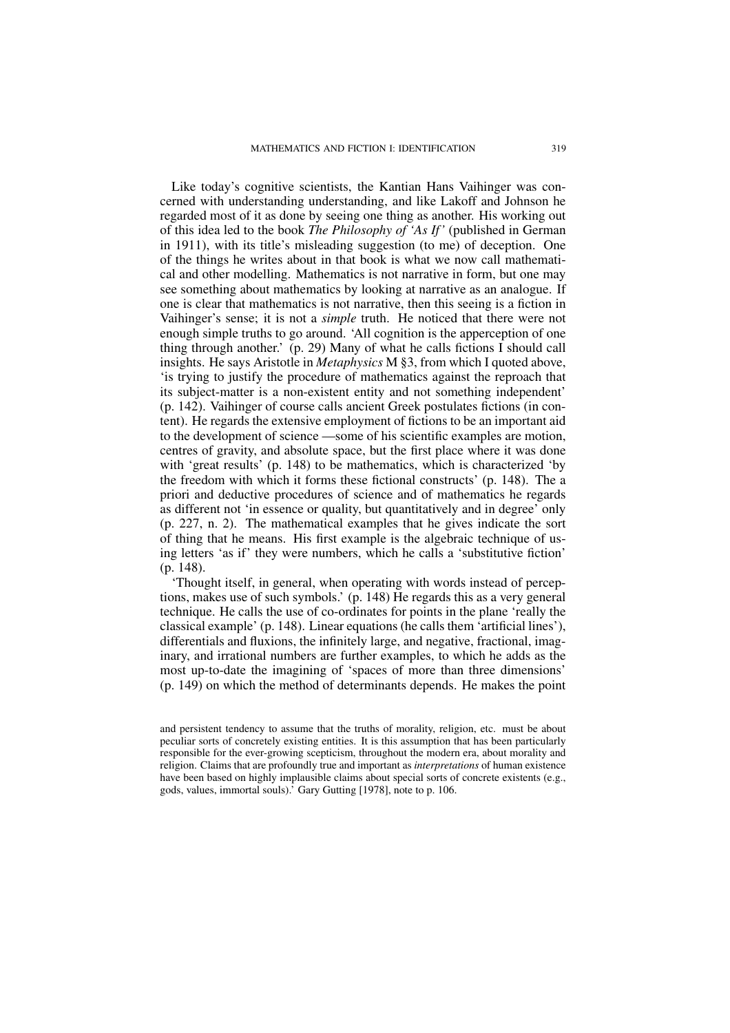Like today's cognitive scientists, the Kantian Hans Vaihinger was concerned with understanding understanding, and like Lakoff and Johnson he regarded most of it as done by seeing one thing as another. His working out of this idea led to the book *The Philosophy of 'As If'* (published in German in 1911), with its title's misleading suggestion (to me) of deception. One of the things he writes about in that book is what we now call mathematical and other modelling. Mathematics is not narrative in form, but one may see something about mathematics by looking at narrative as an analogue. If one is clear that mathematics is not narrative, then this seeing is a fiction in Vaihinger's sense; it is not a *simple* truth. He noticed that there were not enough simple truths to go around. 'All cognition is the apperception of one thing through another.' (p. 29) Many of what he calls fictions I should call insights. He says Aristotle in *Metaphysics* M §3, from which I quoted above, 'is trying to justify the procedure of mathematics against the reproach that its subject-matter is a non-existent entity and not something independent' (p. 142). Vaihinger of course calls ancient Greek postulates fictions (in content). He regards the extensive employment of fictions to be an important aid to the development of science —some of his scientific examples are motion, centres of gravity, and absolute space, but the first place where it was done with 'great results' (p. 148) to be mathematics, which is characterized 'by the freedom with which it forms these fictional constructs' (p. 148). The a priori and deductive procedures of science and of mathematics he regards as different not 'in essence or quality, but quantitatively and in degree' only (p. 227, n. 2). The mathematical examples that he gives indicate the sort of thing that he means. His first example is the algebraic technique of using letters 'as if' they were numbers, which he calls a 'substitutive fiction' (p. 148).

'Thought itself, in general, when operating with words instead of perceptions, makes use of such symbols.' (p. 148) He regards this as a very general technique. He calls the use of co-ordinates for points in the plane 'really the classical example' (p. 148). Linear equations (he calls them 'artificial lines'), differentials and fluxions, the infinitely large, and negative, fractional, imaginary, and irrational numbers are further examples, to which he adds as the most up-to-date the imagining of 'spaces of more than three dimensions' (p. 149) on which the method of determinants depends. He makes the point

and persistent tendency to assume that the truths of morality, religion, etc. must be about peculiar sorts of concretely existing entities. It is this assumption that has been particularly responsible for the ever-growing scepticism, throughout the modern era, about morality and religion. Claims that are profoundly true and important as *interpretations* of human existence have been based on highly implausible claims about special sorts of concrete existents (e.g., gods, values, immortal souls).' Gary Gutting [1978], note to p. 106.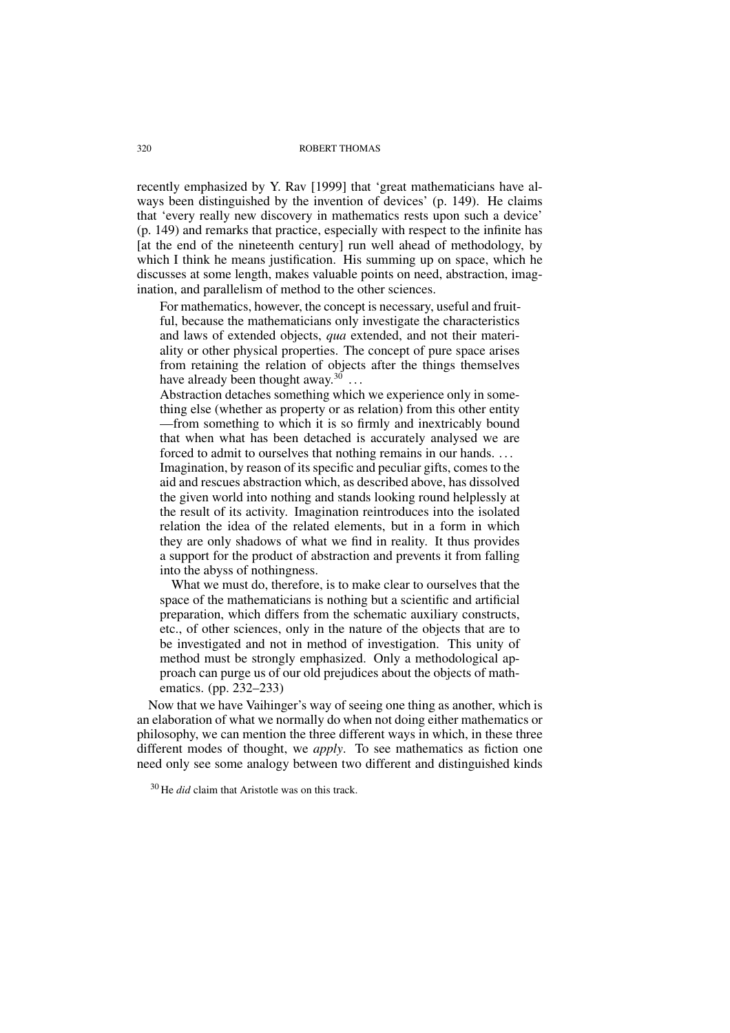recently emphasized by Y. Rav [1999] that 'great mathematicians have always been distinguished by the invention of devices' (p. 149). He claims that 'every really new discovery in mathematics rests upon such a device' (p. 149) and remarks that practice, especially with respect to the infinite has [at the end of the nineteenth century] run well ahead of methodology, by which I think he means justification. His summing up on space, which he discusses at some length, makes valuable points on need, abstraction, imagination, and parallelism of method to the other sciences.

For mathematics, however, the concept is necessary, useful and fruitful, because the mathematicians only investigate the characteristics and laws of extended objects, *qua* extended, and not their materiality or other physical properties. The concept of pure space arises from retaining the relation of objects after the things themselves have already been thought away.<sup>30</sup> ...

Abstraction detaches something which we experience only in something else (whether as property or as relation) from this other entity —from something to which it is so firmly and inextricably bound that when what has been detached is accurately analysed we are forced to admit to ourselves that nothing remains in our hands. . . .

Imagination, by reason of its specific and peculiar gifts, comes to the aid and rescues abstraction which, as described above, has dissolved the given world into nothing and stands looking round helplessly at the result of its activity. Imagination reintroduces into the isolated relation the idea of the related elements, but in a form in which they are only shadows of what we find in reality. It thus provides a support for the product of abstraction and prevents it from falling into the abyss of nothingness.

What we must do, therefore, is to make clear to ourselves that the space of the mathematicians is nothing but a scientific and artificial preparation, which differs from the schematic auxiliary constructs, etc., of other sciences, only in the nature of the objects that are to be investigated and not in method of investigation. This unity of method must be strongly emphasized. Only a methodological approach can purge us of our old prejudices about the objects of mathematics. (pp. 232–233)

Now that we have Vaihinger's way of seeing one thing as another, which is an elaboration of what we normally do when not doing either mathematics or philosophy, we can mention the three different ways in which, in these three different modes of thought, we *apply*. To see mathematics as fiction one need only see some analogy between two different and distinguished kinds

<sup>30</sup> He *did* claim that Aristotle was on this track.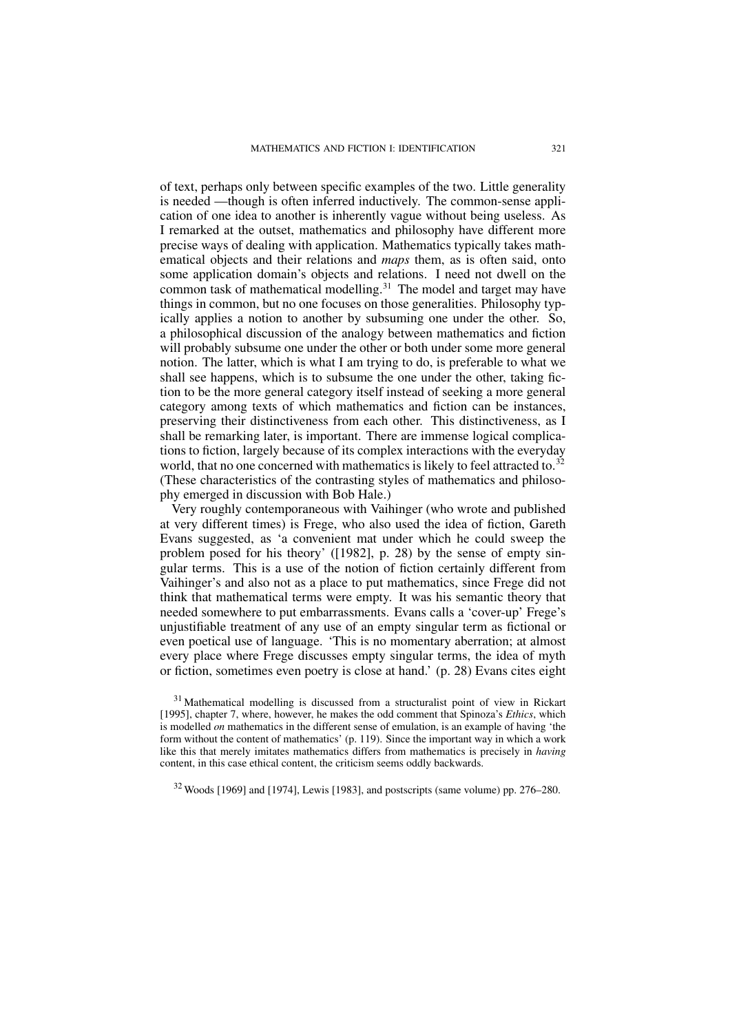of text, perhaps only between specific examples of the two. Little generality is needed —though is often inferred inductively. The common-sense application of one idea to another is inherently vague without being useless. As I remarked at the outset, mathematics and philosophy have different more precise ways of dealing with application. Mathematics typically takes mathematical objects and their relations and *maps* them, as is often said, onto some application domain's objects and relations. I need not dwell on the common task of mathematical modelling.<sup>31</sup> The model and target may have things in common, but no one focuses on those generalities. Philosophy typically applies a notion to another by subsuming one under the other. So, a philosophical discussion of the analogy between mathematics and fiction will probably subsume one under the other or both under some more general notion. The latter, which is what I am trying to do, is preferable to what we shall see happens, which is to subsume the one under the other, taking fiction to be the more general category itself instead of seeking a more general category among texts of which mathematics and fiction can be instances, preserving their distinctiveness from each other. This distinctiveness, as I shall be remarking later, is important. There are immense logical complications to fiction, largely because of its complex interactions with the everyday world, that no one concerned with mathematics is likely to feel attracted to.<sup>32</sup> (These characteristics of the contrasting styles of mathematics and philosophy emerged in discussion with Bob Hale.)

Very roughly contemporaneous with Vaihinger (who wrote and published at very different times) is Frege, who also used the idea of fiction, Gareth Evans suggested, as 'a convenient mat under which he could sweep the problem posed for his theory' ([1982], p. 28) by the sense of empty singular terms. This is a use of the notion of fiction certainly different from Vaihinger's and also not as a place to put mathematics, since Frege did not think that mathematical terms were empty. It was his semantic theory that needed somewhere to put embarrassments. Evans calls a 'cover-up' Frege's unjustifiable treatment of any use of an empty singular term as fictional or even poetical use of language. 'This is no momentary aberration; at almost every place where Frege discusses empty singular terms, the idea of myth or fiction, sometimes even poetry is close at hand.' (p. 28) Evans cites eight

<sup>31</sup> Mathematical modelling is discussed from a structuralist point of view in Rickart [1995], chapter 7, where, however, he makes the odd comment that Spinoza's *Ethics*, which is modelled *on* mathematics in the different sense of emulation, is an example of having 'the form without the content of mathematics' (p. 119). Since the important way in which a work like this that merely imitates mathematics differs from mathematics is precisely in *having* content, in this case ethical content, the criticism seems oddly backwards.

 $32$  Woods [1969] and [1974], Lewis [1983], and postscripts (same volume) pp. 276–280.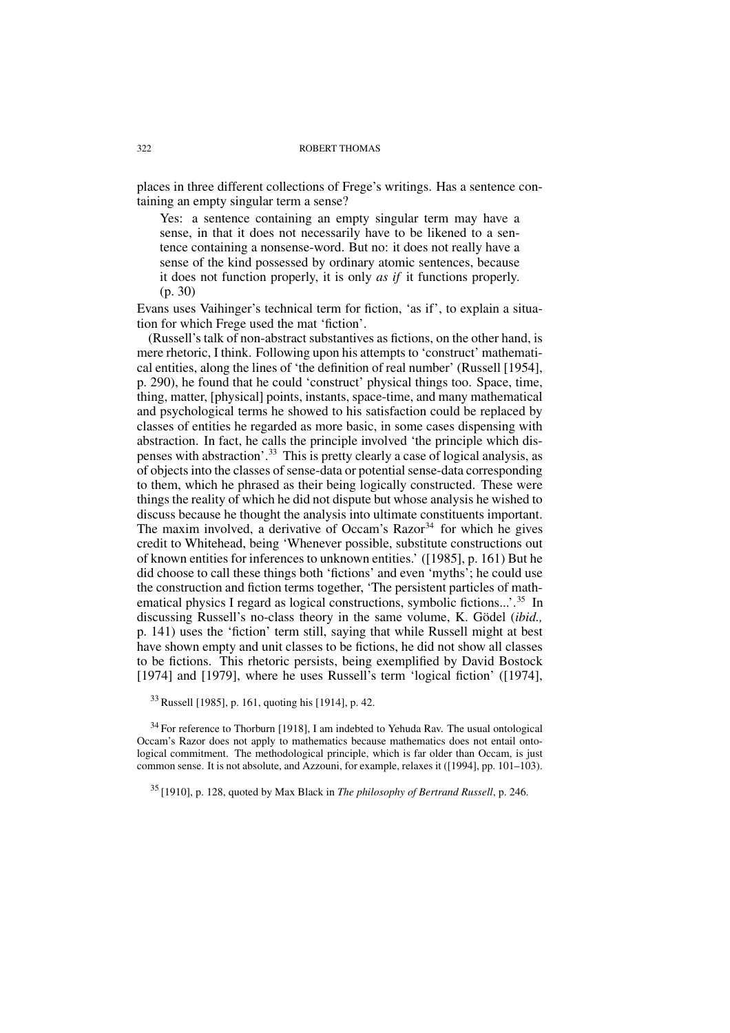places in three different collections of Frege's writings. Has a sentence containing an empty singular term a sense?

Yes: a sentence containing an empty singular term may have a sense, in that it does not necessarily have to be likened to a sentence containing a nonsense-word. But no: it does not really have a sense of the kind possessed by ordinary atomic sentences, because it does not function properly, it is only *as if* it functions properly. (p. 30)

Evans uses Vaihinger's technical term for fiction, 'as if', to explain a situation for which Frege used the mat 'fiction'.

(Russell's talk of non-abstract substantives as fictions, on the other hand, is mere rhetoric, I think. Following upon his attempts to 'construct' mathematical entities, along the lines of 'the definition of real number' (Russell [1954], p. 290), he found that he could 'construct' physical things too. Space, time, thing, matter, [physical] points, instants, space-time, and many mathematical and psychological terms he showed to his satisfaction could be replaced by classes of entities he regarded as more basic, in some cases dispensing with abstraction. In fact, he calls the principle involved 'the principle which dispenses with abstraction'.<sup>33</sup> This is pretty clearly a case of logical analysis, as of objects into the classes of sense-data or potential sense-data corresponding to them, which he phrased as their being logically constructed. These were things the reality of which he did not dispute but whose analysis he wished to discuss because he thought the analysis into ultimate constituents important. The maxim involved, a derivative of Occam's  $Razor<sup>34</sup>$  for which he gives credit to Whitehead, being 'Whenever possible, substitute constructions out of known entities for inferences to unknown entities.' ([1985], p. 161) But he did choose to call these things both 'fictions' and even 'myths'; he could use the construction and fiction terms together, 'The persistent particles of mathematical physics I regard as logical constructions, symbolic fictions...'.<sup>35</sup> In discussing Russell's no-class theory in the same volume, K. Gödel (*ibid.,* p. 141) uses the 'fiction' term still, saying that while Russell might at best have shown empty and unit classes to be fictions, he did not show all classes to be fictions. This rhetoric persists, being exemplified by David Bostock [1974] and [1979], where he uses Russell's term 'logical fiction' ([1974],

<sup>33</sup> Russell [1985], p. 161, quoting his [1914], p. 42.

<sup>34</sup> For reference to Thorburn [1918], I am indebted to Yehuda Rav. The usual ontological Occam's Razor does not apply to mathematics because mathematics does not entail ontological commitment. The methodological principle, which is far older than Occam, is just common sense. It is not absolute, and Azzouni, for example, relaxes it ([1994], pp. 101–103).

<sup>35</sup> [1910], p. 128, quoted by Max Black in *The philosophy of Bertrand Russell*, p. 246.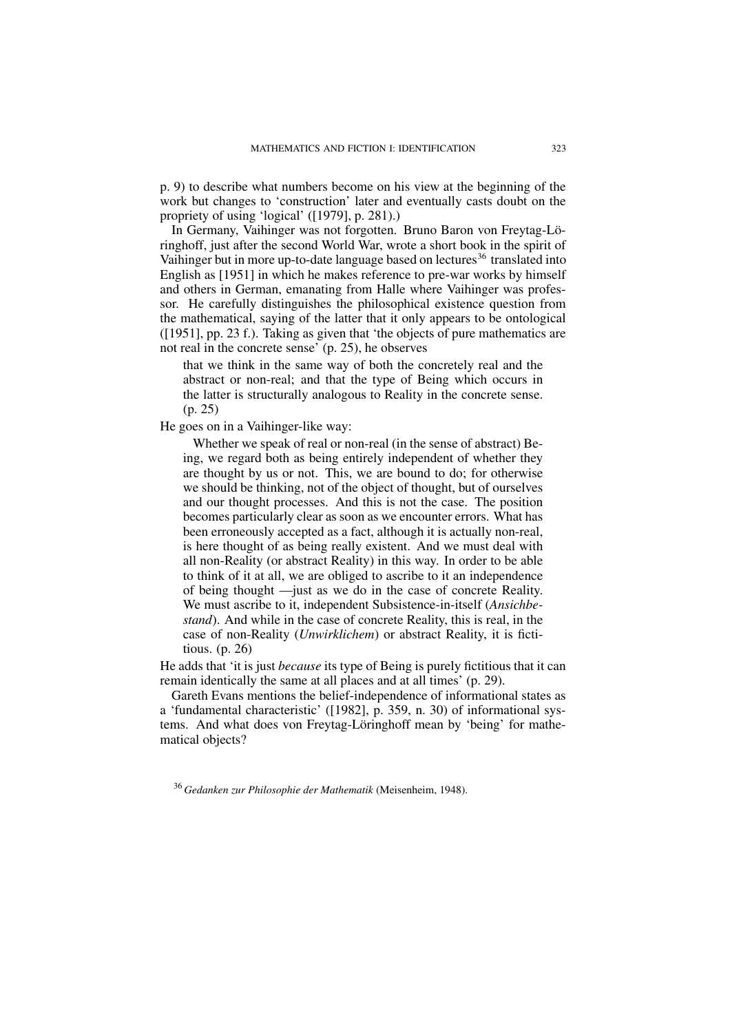p. 9) to describe what numbers become on his view at the beginning of the work but changes to 'construction' later and eventually casts doubt on the propriety of using 'logical' ([1979], p. 281).)

In Germany, Vaihinger was not forgotten. Bruno Baron von Freytag-Löringhoff, just after the second World War, wrote a short book in the spirit of Vaihinger but in more up-to-date language based on lectures<sup>36</sup> translated into English as [1951] in which he makes reference to pre-war works by himself and others in German, emanating from Halle where Vaihinger was professor. He carefully distinguishes the philosophical existence question from the mathematical, saying of the latter that it only appears to be ontological ([1951], pp. 23 f.). Taking as given that 'the objects of pure mathematics are not real in the concrete sense' (p. 25), he observes

that we think in the same way of both the concretely real and the abstract or non-real; and that the type of Being which occurs in the latter is structurally analogous to Reality in the concrete sense. (p. 25)

He goes on in a Vaihinger-like way:

Whether we speak of real or non-real (in the sense of abstract) Being, we regard both as being entirely independent of whether they are thought by us or not. This, we are bound to do; for otherwise we should be thinking, not of the object of thought, but of ourselves and our thought processes. And this is not the case. The position becomes particularly clear as soon as we encounter errors. What has been erroneously accepted as a fact, although it is actually non-real, is here thought of as being really existent. And we must deal with all non-Reality (or abstract Reality) in this way. In order to be able to think of it at all, we are obliged to ascribe to it an independence of being thought —just as we do in the case of concrete Reality. We must ascribe to it, independent Subsistence-in-itself (*Ansichbestand*). And while in the case of concrete Reality, this is real, in the case of non-Reality (*Unwirklichem*) or abstract Reality, it is fictitious. (p. 26)

He adds that 'it is just *because* its type of Being is purely fictitious that it can remain identically the same at all places and at all times' (p. 29).

Gareth Evans mentions the belief-independence of informational states as a 'fundamental characteristic' ([1982], p. 359, n. 30) of informational systems. And what does von Freytag-Löringhoff mean by 'being' for mathematical objects?

<sup>36</sup> *Gedanken zur Philosophie der Mathematik* (Meisenheim, 1948).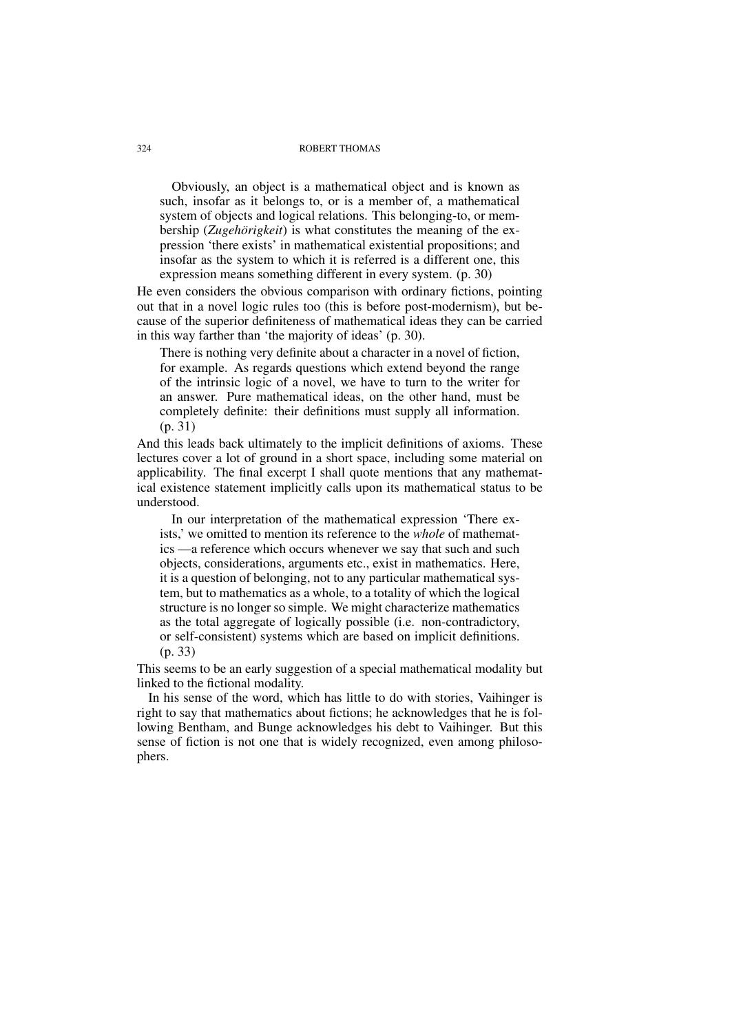Obviously, an object is a mathematical object and is known as such, insofar as it belongs to, or is a member of, a mathematical system of objects and logical relations. This belonging-to, or membership (*Zugehörigkeit*) is what constitutes the meaning of the expression 'there exists' in mathematical existential propositions; and insofar as the system to which it is referred is a different one, this expression means something different in every system. (p. 30)

He even considers the obvious comparison with ordinary fictions, pointing out that in a novel logic rules too (this is before post-modernism), but because of the superior definiteness of mathematical ideas they can be carried in this way farther than 'the majority of ideas' (p. 30).

There is nothing very definite about a character in a novel of fiction, for example. As regards questions which extend beyond the range of the intrinsic logic of a novel, we have to turn to the writer for an answer. Pure mathematical ideas, on the other hand, must be completely definite: their definitions must supply all information. (p. 31)

And this leads back ultimately to the implicit definitions of axioms. These lectures cover a lot of ground in a short space, including some material on applicability. The final excerpt I shall quote mentions that any mathematical existence statement implicitly calls upon its mathematical status to be understood.

In our interpretation of the mathematical expression 'There exists,' we omitted to mention its reference to the *whole* of mathematics —a reference which occurs whenever we say that such and such objects, considerations, arguments etc., exist in mathematics. Here, it is a question of belonging, not to any particular mathematical system, but to mathematics as a whole, to a totality of which the logical structure is no longer so simple. We might characterize mathematics as the total aggregate of logically possible (i.e. non-contradictory, or self-consistent) systems which are based on implicit definitions. (p. 33)

This seems to be an early suggestion of a special mathematical modality but linked to the fictional modality.

In his sense of the word, which has little to do with stories, Vaihinger is right to say that mathematics about fictions; he acknowledges that he is following Bentham, and Bunge acknowledges his debt to Vaihinger. But this sense of fiction is not one that is widely recognized, even among philosophers.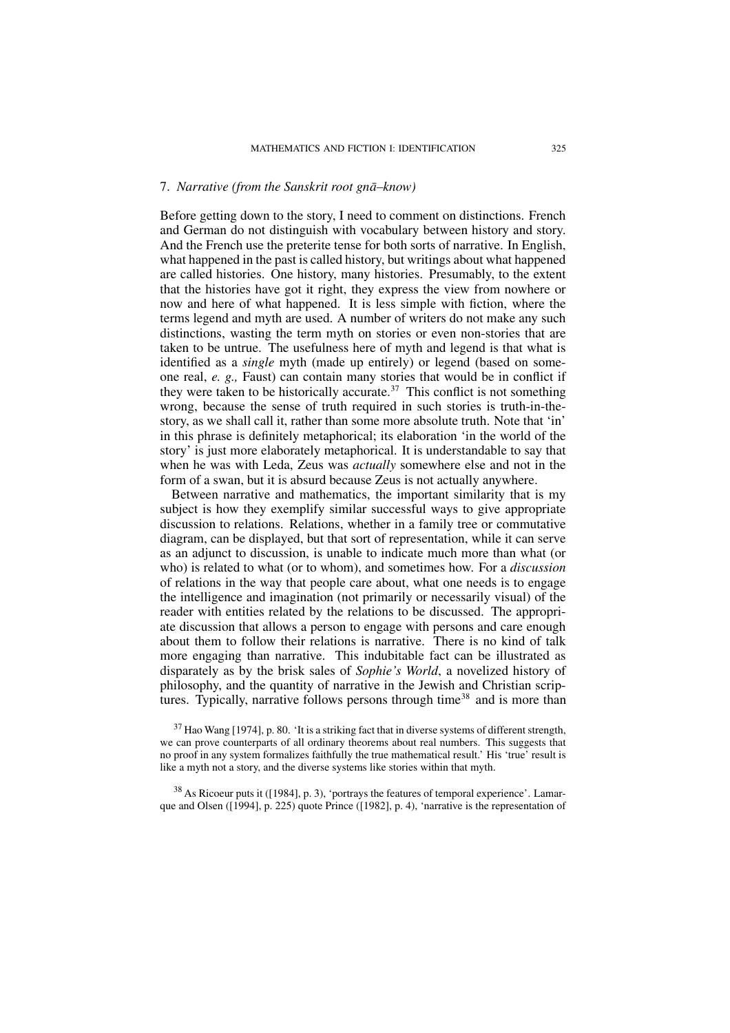## 7. *Narrative (from the Sanskrit root gna–know) ¯*

Before getting down to the story, I need to comment on distinctions. French and German do not distinguish with vocabulary between history and story. And the French use the preterite tense for both sorts of narrative. In English, what happened in the past is called history, but writings about what happened are called histories. One history, many histories. Presumably, to the extent that the histories have got it right, they express the view from nowhere or now and here of what happened. It is less simple with fiction, where the terms legend and myth are used. A number of writers do not make any such distinctions, wasting the term myth on stories or even non-stories that are taken to be untrue. The usefulness here of myth and legend is that what is identified as a *single* myth (made up entirely) or legend (based on someone real, *e. g.,* Faust) can contain many stories that would be in conflict if they were taken to be historically accurate.<sup>37</sup> This conflict is not something wrong, because the sense of truth required in such stories is truth-in-thestory, as we shall call it, rather than some more absolute truth. Note that 'in' in this phrase is definitely metaphorical; its elaboration 'in the world of the story' is just more elaborately metaphorical. It is understandable to say that when he was with Leda, Zeus was *actually* somewhere else and not in the form of a swan, but it is absurd because Zeus is not actually anywhere.

Between narrative and mathematics, the important similarity that is my subject is how they exemplify similar successful ways to give appropriate discussion to relations. Relations, whether in a family tree or commutative diagram, can be displayed, but that sort of representation, while it can serve as an adjunct to discussion, is unable to indicate much more than what (or who) is related to what (or to whom), and sometimes how. For a *discussion* of relations in the way that people care about, what one needs is to engage the intelligence and imagination (not primarily or necessarily visual) of the reader with entities related by the relations to be discussed. The appropriate discussion that allows a person to engage with persons and care enough about them to follow their relations is narrative. There is no kind of talk more engaging than narrative. This indubitable fact can be illustrated as disparately as by the brisk sales of *Sophie's World*, a novelized history of philosophy, and the quantity of narrative in the Jewish and Christian scriptures. Typically, narrative follows persons through time<sup>38</sup> and is more than

 $37$  Hao Wang [1974], p. 80. 'It is a striking fact that in diverse systems of different strength, we can prove counterparts of all ordinary theorems about real numbers. This suggests that no proof in any system formalizes faithfully the true mathematical result.' His 'true' result is like a myth not a story, and the diverse systems like stories within that myth.

<sup>38</sup> As Ricoeur puts it ([1984], p. 3), 'portrays the features of temporal experience'. Lamarque and Olsen ([1994], p. 225) quote Prince ([1982], p. 4), 'narrative is the representation of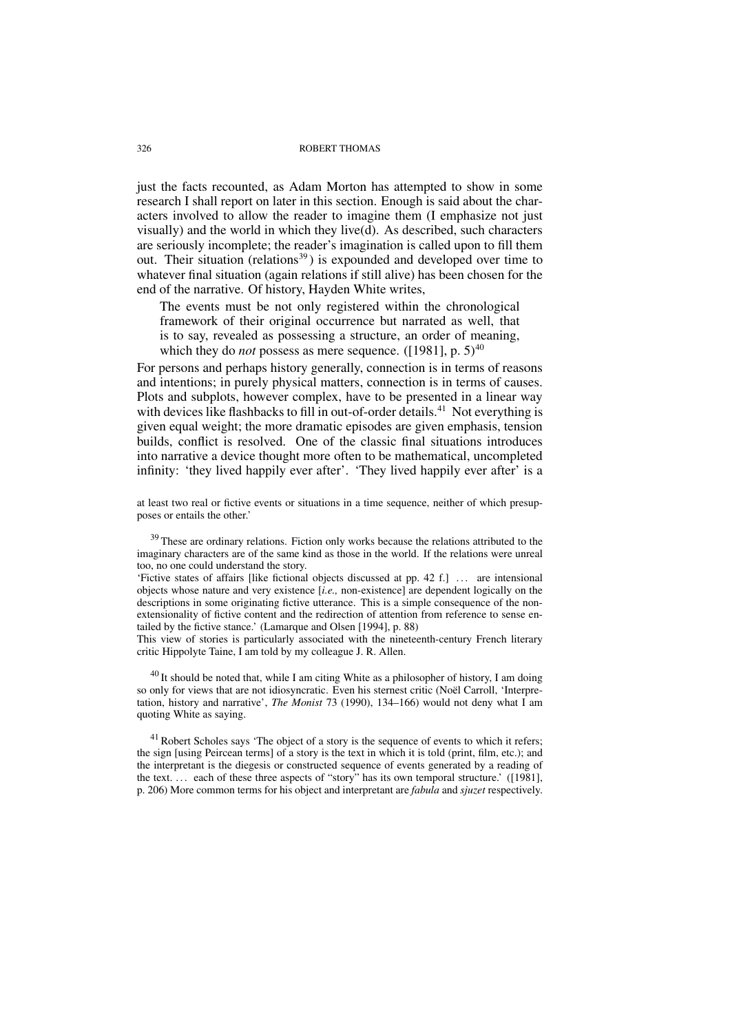just the facts recounted, as Adam Morton has attempted to show in some research I shall report on later in this section. Enough is said about the characters involved to allow the reader to imagine them (I emphasize not just visually) and the world in which they live(d). As described, such characters are seriously incomplete; the reader's imagination is called upon to fill them out. Their situation (relations<sup>39</sup>) is expounded and developed over time to whatever final situation (again relations if still alive) has been chosen for the end of the narrative. Of history, Hayden White writes,

The events must be not only registered within the chronological framework of their original occurrence but narrated as well, that is to say, revealed as possessing a structure, an order of meaning, which they do *not* possess as mere sequence. ([1981], p.  $5)^{40}$ 

For persons and perhaps history generally, connection is in terms of reasons and intentions; in purely physical matters, connection is in terms of causes. Plots and subplots, however complex, have to be presented in a linear way with devices like flashbacks to fill in out-of-order details.<sup>41</sup> Not everything is given equal weight; the more dramatic episodes are given emphasis, tension builds, conflict is resolved. One of the classic final situations introduces into narrative a device thought more often to be mathematical, uncompleted infinity: 'they lived happily ever after'. 'They lived happily ever after' is a

at least two real or fictive events or situations in a time sequence, neither of which presupposes or entails the other.'

<sup>39</sup> These are ordinary relations. Fiction only works because the relations attributed to the imaginary characters are of the same kind as those in the world. If the relations were unreal too, no one could understand the story.

'Fictive states of affairs [like fictional objects discussed at pp. 42 f.] . . . are intensional objects whose nature and very existence [*i.e.,* non-existence] are dependent logically on the descriptions in some originating fictive utterance. This is a simple consequence of the nonextensionality of fictive content and the redirection of attention from reference to sense entailed by the fictive stance.' (Lamarque and Olsen [1994], p. 88)

This view of stories is particularly associated with the nineteenth-century French literary critic Hippolyte Taine, I am told by my colleague J. R. Allen.

 $^{40}$  It should be noted that, while I am citing White as a philosopher of history, I am doing so only for views that are not idiosyncratic. Even his sternest critic (Noël Carroll, 'Interpretation, history and narrative', *The Monist* 73 (1990), 134–166) would not deny what I am quoting White as saying.

 $<sup>41</sup>$  Robert Scholes says 'The object of a story is the sequence of events to which it refers;</sup> the sign [using Peircean terms] of a story is the text in which it is told (print, film, etc.); and the interpretant is the diegesis or constructed sequence of events generated by a reading of the text. . . . each of these three aspects of "story" has its own temporal structure.' ([1981], p. 206) More common terms for his object and interpretant are *fabula* and *sjuzet* respectively.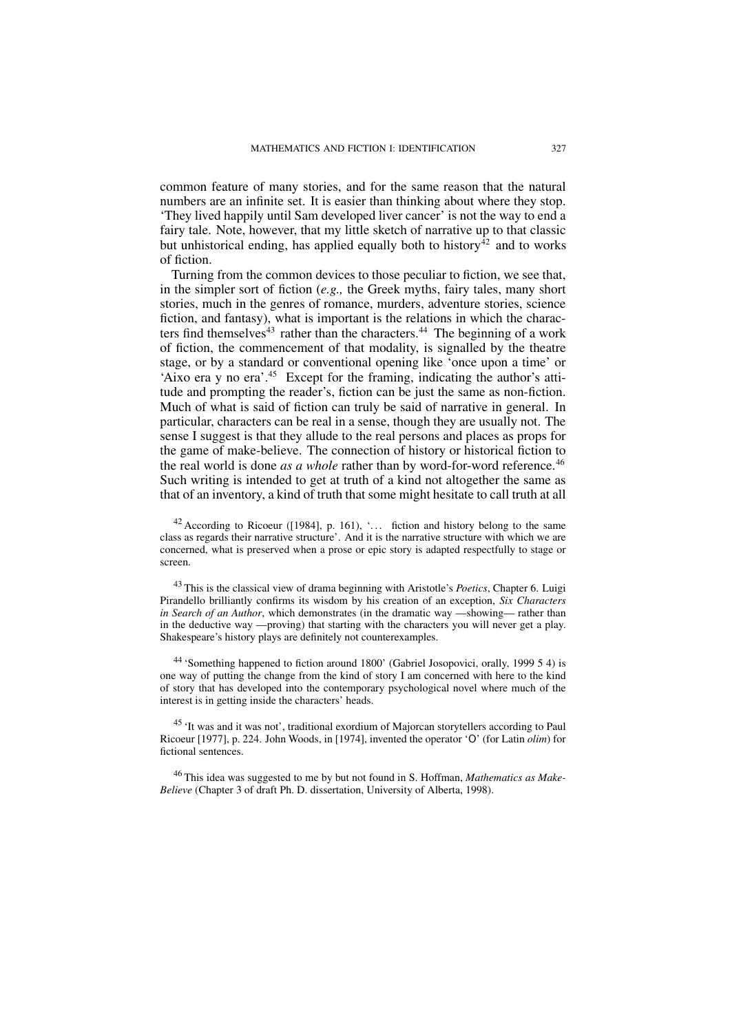common feature of many stories, and for the same reason that the natural numbers are an infinite set. It is easier than thinking about where they stop. 'They lived happily until Sam developed liver cancer' is not the way to end a fairy tale. Note, however, that my little sketch of narrative up to that classic but unhistorical ending, has applied equally both to history<sup>42</sup> and to works of fiction.

Turning from the common devices to those peculiar to fiction, we see that, in the simpler sort of fiction (*e.g.,* the Greek myths, fairy tales, many short stories, much in the genres of romance, murders, adventure stories, science fiction, and fantasy), what is important is the relations in which the characters find themselves<sup>43</sup> rather than the characters.<sup>44</sup> The beginning of a work of fiction, the commencement of that modality, is signalled by the theatre stage, or by a standard or conventional opening like 'once upon a time' or 'Aixo era y no era'.<sup>45</sup> Except for the framing, indicating the author's attitude and prompting the reader's, fiction can be just the same as non-fiction. Much of what is said of fiction can truly be said of narrative in general. In particular, characters can be real in a sense, though they are usually not. The sense I suggest is that they allude to the real persons and places as props for the game of make-believe. The connection of history or historical fiction to the real world is done *as a whole* rather than by word-for-word reference.<sup>46</sup> Such writing is intended to get at truth of a kind not altogether the same as that of an inventory, a kind of truth that some might hesitate to call truth at all

 $42$  According to Ricoeur ([1984], p. 161), '... fiction and history belong to the same class as regards their narrative structure'. And it is the narrative structure with which we are concerned, what is preserved when a prose or epic story is adapted respectfully to stage or screen.

<sup>43</sup> This is the classical view of drama beginning with Aristotle's *Poetics*, Chapter 6. Luigi Pirandello brilliantly confirms its wisdom by his creation of an exception, *Six Characters in Search of an Author*, which demonstrates (in the dramatic way —showing— rather than in the deductive way —proving) that starting with the characters you will never get a play. Shakespeare's history plays are definitely not counterexamples.

<sup>44</sup> 'Something happened to fiction around 1800' (Gabriel Josopovici, orally, 1999 5 4) is one way of putting the change from the kind of story I am concerned with here to the kind of story that has developed into the contemporary psychological novel where much of the interest is in getting inside the characters' heads.

<sup>45</sup> 'It was and it was not', traditional exordium of Majorcan storytellers according to Paul Ricoeur [1977], p. 224. John Woods, in [1974], invented the operator 'O' (for Latin *olim*) for fictional sentences.

<sup>46</sup> This idea was suggested to me by but not found in S. Hoffman, *Mathematics as Make-Believe* (Chapter 3 of draft Ph. D. dissertation, University of Alberta, 1998).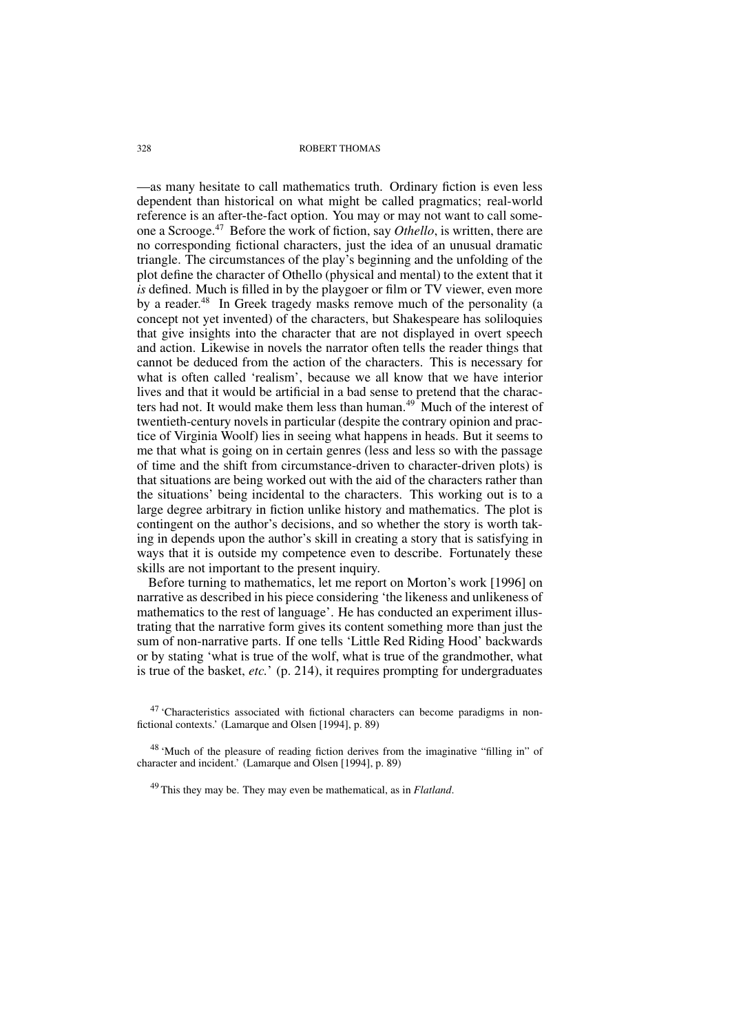—as many hesitate to call mathematics truth. Ordinary fiction is even less dependent than historical on what might be called pragmatics; real-world reference is an after-the-fact option. You may or may not want to call someone a Scrooge.<sup>47</sup> Before the work of fiction, say *Othello*, is written, there are no corresponding fictional characters, just the idea of an unusual dramatic triangle. The circumstances of the play's beginning and the unfolding of the plot define the character of Othello (physical and mental) to the extent that it *is* defined. Much is filled in by the playgoer or film or TV viewer, even more by a reader.<sup>48</sup> In Greek tragedy masks remove much of the personality (a concept not yet invented) of the characters, but Shakespeare has soliloquies that give insights into the character that are not displayed in overt speech and action. Likewise in novels the narrator often tells the reader things that cannot be deduced from the action of the characters. This is necessary for what is often called 'realism', because we all know that we have interior lives and that it would be artificial in a bad sense to pretend that the characters had not. It would make them less than human.<sup>49</sup> Much of the interest of twentieth-century novels in particular (despite the contrary opinion and practice of Virginia Woolf) lies in seeing what happens in heads. But it seems to me that what is going on in certain genres (less and less so with the passage of time and the shift from circumstance-driven to character-driven plots) is that situations are being worked out with the aid of the characters rather than the situations' being incidental to the characters. This working out is to a large degree arbitrary in fiction unlike history and mathematics. The plot is contingent on the author's decisions, and so whether the story is worth taking in depends upon the author's skill in creating a story that is satisfying in ways that it is outside my competence even to describe. Fortunately these skills are not important to the present inquiry.

Before turning to mathematics, let me report on Morton's work [1996] on narrative as described in his piece considering 'the likeness and unlikeness of mathematics to the rest of language'. He has conducted an experiment illustrating that the narrative form gives its content something more than just the sum of non-narrative parts. If one tells 'Little Red Riding Hood' backwards or by stating 'what is true of the wolf, what is true of the grandmother, what is true of the basket, *etc.*' (p. 214), it requires prompting for undergraduates

<sup>47</sup> 'Characteristics associated with fictional characters can become paradigms in nonfictional contexts.' (Lamarque and Olsen [1994], p. 89)

<sup>48</sup> 'Much of the pleasure of reading fiction derives from the imaginative "filling in" of character and incident.' (Lamarque and Olsen [1994], p. 89)

<sup>49</sup> This they may be. They may even be mathematical, as in *Flatland*.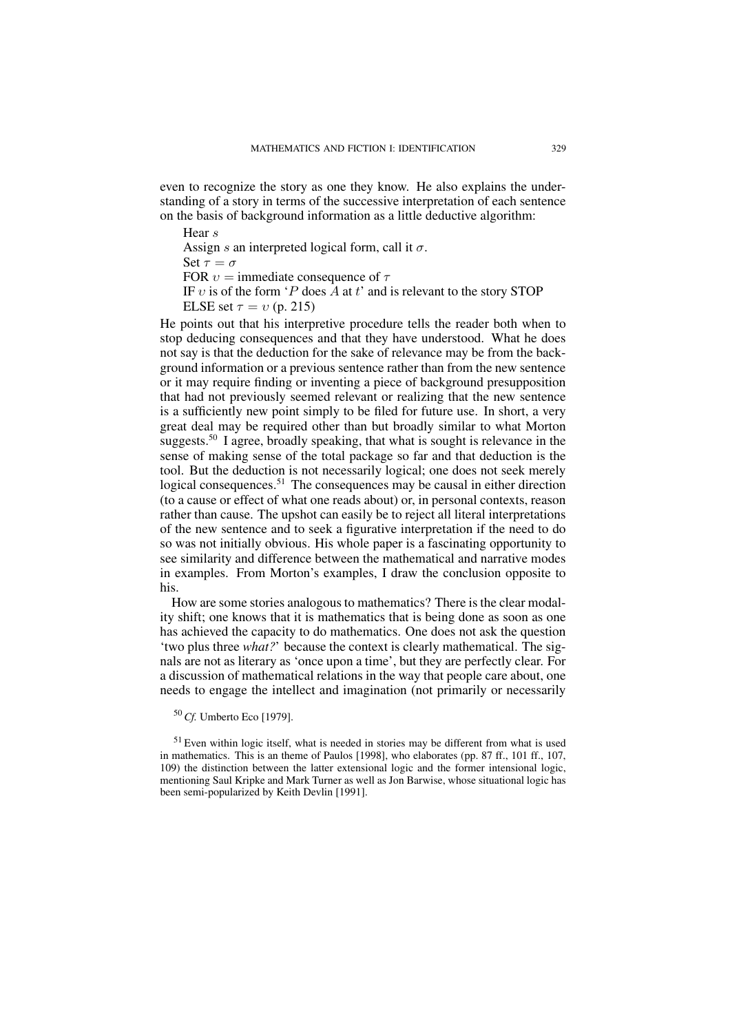even to recognize the story as one they know. He also explains the understanding of a story in terms of the successive interpretation of each sentence on the basis of background information as a little deductive algorithm:

Hear s Assign s an interpreted logical form, call it  $\sigma$ . Set  $\tau = \sigma$ FOR  $v =$  immediate consequence of  $\tau$ IF v is of the form 'P does  $\overline{A}$  at t' and is relevant to the story STOP ELSE set  $\tau = v$  (p. 215)

He points out that his interpretive procedure tells the reader both when to stop deducing consequences and that they have understood. What he does not say is that the deduction for the sake of relevance may be from the background information or a previous sentence rather than from the new sentence or it may require finding or inventing a piece of background presupposition that had not previously seemed relevant or realizing that the new sentence is a sufficiently new point simply to be filed for future use. In short, a very great deal may be required other than but broadly similar to what Morton suggests.<sup>50</sup> I agree, broadly speaking, that what is sought is relevance in the sense of making sense of the total package so far and that deduction is the tool. But the deduction is not necessarily logical; one does not seek merely logical consequences.<sup>51</sup> The consequences may be causal in either direction (to a cause or effect of what one reads about) or, in personal contexts, reason rather than cause. The upshot can easily be to reject all literal interpretations of the new sentence and to seek a figurative interpretation if the need to do so was not initially obvious. His whole paper is a fascinating opportunity to see similarity and difference between the mathematical and narrative modes in examples. From Morton's examples, I draw the conclusion opposite to his.

How are some stories analogous to mathematics? There is the clear modality shift; one knows that it is mathematics that is being done as soon as one has achieved the capacity to do mathematics. One does not ask the question 'two plus three *what?*' because the context is clearly mathematical. The signals are not as literary as 'once upon a time', but they are perfectly clear. For a discussion of mathematical relations in the way that people care about, one needs to engage the intellect and imagination (not primarily or necessarily

<sup>50</sup> *Cf.* Umberto Eco [1979].

 $51$  Even within logic itself, what is needed in stories may be different from what is used in mathematics. This is an theme of Paulos [1998], who elaborates (pp. 87 ff., 101 ff., 107, 109) the distinction between the latter extensional logic and the former intensional logic, mentioning Saul Kripke and Mark Turner as well as Jon Barwise, whose situational logic has been semi-popularized by Keith Devlin [1991].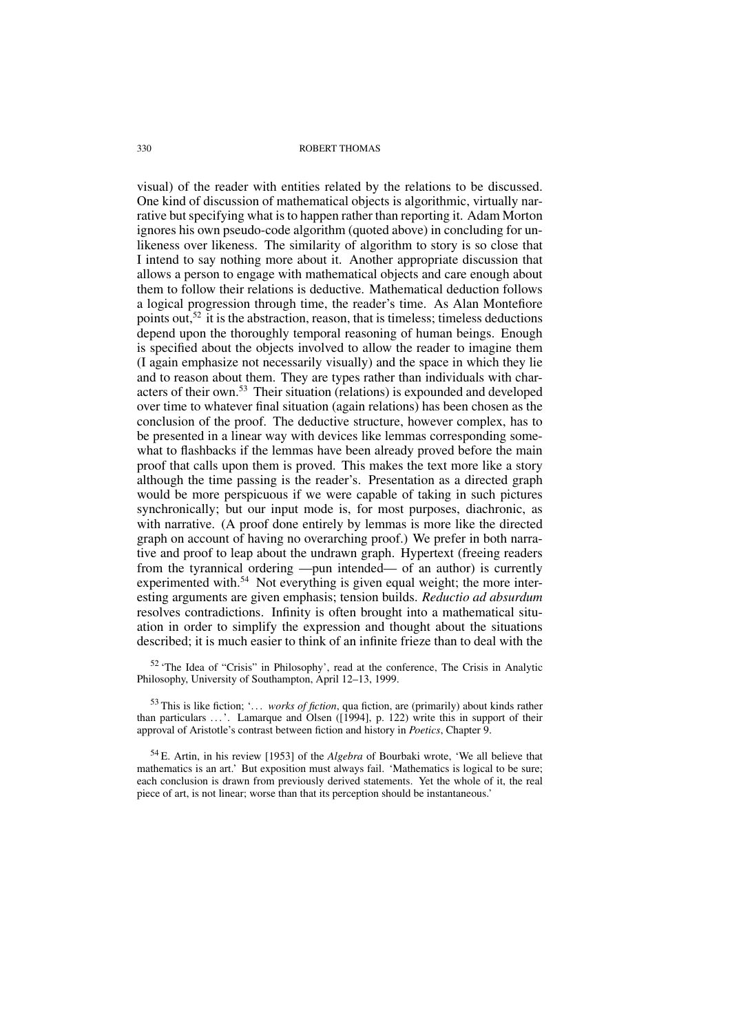visual) of the reader with entities related by the relations to be discussed. One kind of discussion of mathematical objects is algorithmic, virtually narrative but specifying what is to happen rather than reporting it. Adam Morton ignores his own pseudo-code algorithm (quoted above) in concluding for unlikeness over likeness. The similarity of algorithm to story is so close that I intend to say nothing more about it. Another appropriate discussion that allows a person to engage with mathematical objects and care enough about them to follow their relations is deductive. Mathematical deduction follows a logical progression through time, the reader's time. As Alan Montefiore points out,  $52$  it is the abstraction, reason, that is timeless; timeless deductions depend upon the thoroughly temporal reasoning of human beings. Enough is specified about the objects involved to allow the reader to imagine them (I again emphasize not necessarily visually) and the space in which they lie and to reason about them. They are types rather than individuals with characters of their own.<sup>53</sup> Their situation (relations) is expounded and developed over time to whatever final situation (again relations) has been chosen as the conclusion of the proof. The deductive structure, however complex, has to be presented in a linear way with devices like lemmas corresponding somewhat to flashbacks if the lemmas have been already proved before the main proof that calls upon them is proved. This makes the text more like a story although the time passing is the reader's. Presentation as a directed graph would be more perspicuous if we were capable of taking in such pictures synchronically; but our input mode is, for most purposes, diachronic, as with narrative. (A proof done entirely by lemmas is more like the directed graph on account of having no overarching proof.) We prefer in both narrative and proof to leap about the undrawn graph. Hypertext (freeing readers from the tyrannical ordering —pun intended— of an author) is currently experimented with.<sup>54</sup> Not everything is given equal weight; the more interesting arguments are given emphasis; tension builds. *Reductio ad absurdum* resolves contradictions. Infinity is often brought into a mathematical situation in order to simplify the expression and thought about the situations described; it is much easier to think of an infinite frieze than to deal with the

<sup>52</sup> 'The Idea of "Crisis" in Philosophy', read at the conference, The Crisis in Analytic Philosophy, University of Southampton, April 12–13, 1999.

<sup>53</sup> This is like fiction; '. . . *works of fiction*, qua fiction, are (primarily) about kinds rather than particulars ...'. Lamarque and Olsen ([1994], p. 122) write this in support of their approval of Aristotle's contrast between fiction and history in *Poetics*, Chapter 9.

<sup>54</sup> E. Artin, in his review [1953] of the *Algebra* of Bourbaki wrote, 'We all believe that mathematics is an art.' But exposition must always fail. 'Mathematics is logical to be sure; each conclusion is drawn from previously derived statements. Yet the whole of it, the real piece of art, is not linear; worse than that its perception should be instantaneous.'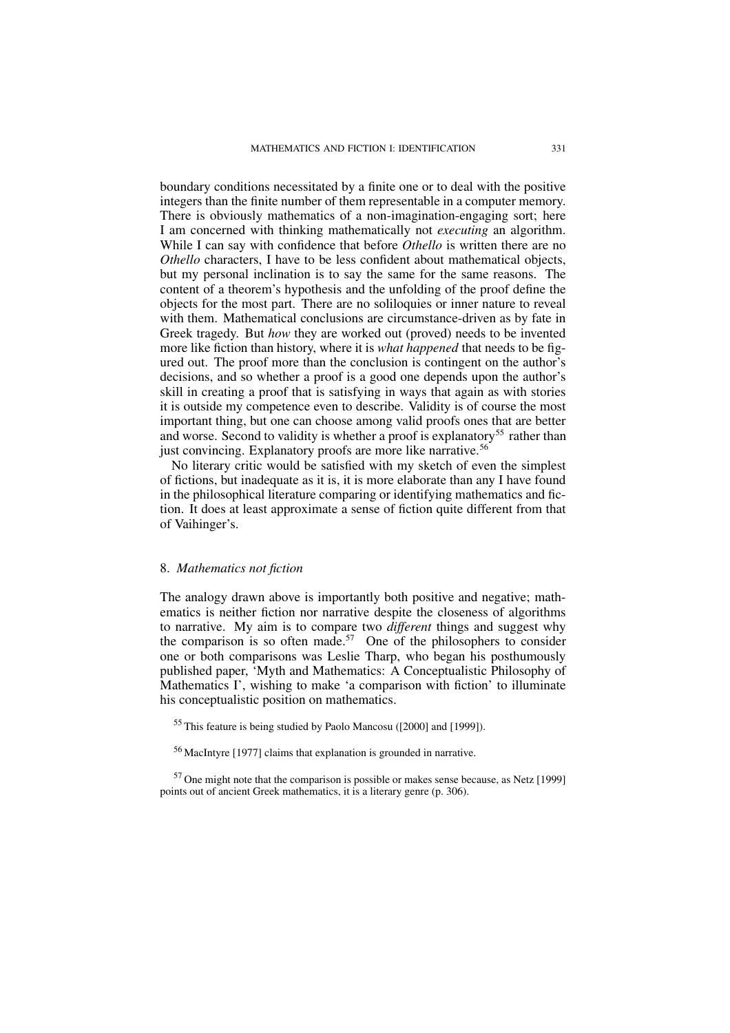boundary conditions necessitated by a finite one or to deal with the positive integers than the finite number of them representable in a computer memory. There is obviously mathematics of a non-imagination-engaging sort; here I am concerned with thinking mathematically not *executing* an algorithm. While I can say with confidence that before *Othello* is written there are no *Othello* characters, I have to be less confident about mathematical objects, but my personal inclination is to say the same for the same reasons. The content of a theorem's hypothesis and the unfolding of the proof define the objects for the most part. There are no soliloquies or inner nature to reveal with them. Mathematical conclusions are circumstance-driven as by fate in Greek tragedy. But *how* they are worked out (proved) needs to be invented more like fiction than history, where it is *what happened* that needs to be figured out. The proof more than the conclusion is contingent on the author's decisions, and so whether a proof is a good one depends upon the author's skill in creating a proof that is satisfying in ways that again as with stories it is outside my competence even to describe. Validity is of course the most important thing, but one can choose among valid proofs ones that are better and worse. Second to validity is whether a proof is explanatory<sup>55</sup> rather than just convincing. Explanatory proofs are more like narrative.<sup>56</sup>

No literary critic would be satisfied with my sketch of even the simplest of fictions, but inadequate as it is, it is more elaborate than any I have found in the philosophical literature comparing or identifying mathematics and fiction. It does at least approximate a sense of fiction quite different from that of Vaihinger's.

### 8. *Mathematics not fiction*

The analogy drawn above is importantly both positive and negative; mathematics is neither fiction nor narrative despite the closeness of algorithms to narrative. My aim is to compare two *different* things and suggest why the comparison is so often made.<sup>57</sup> One of the philosophers to consider one or both comparisons was Leslie Tharp, who began his posthumously published paper, 'Myth and Mathematics: A Conceptualistic Philosophy of Mathematics I', wishing to make 'a comparison with fiction' to illuminate his conceptualistic position on mathematics.

<sup>55</sup> This feature is being studied by Paolo Mancosu ([2000] and [1999]).

<sup>56</sup> MacIntyre [1977] claims that explanation is grounded in narrative.

 $57$  One might note that the comparison is possible or makes sense because, as Netz [1999] points out of ancient Greek mathematics, it is a literary genre (p. 306).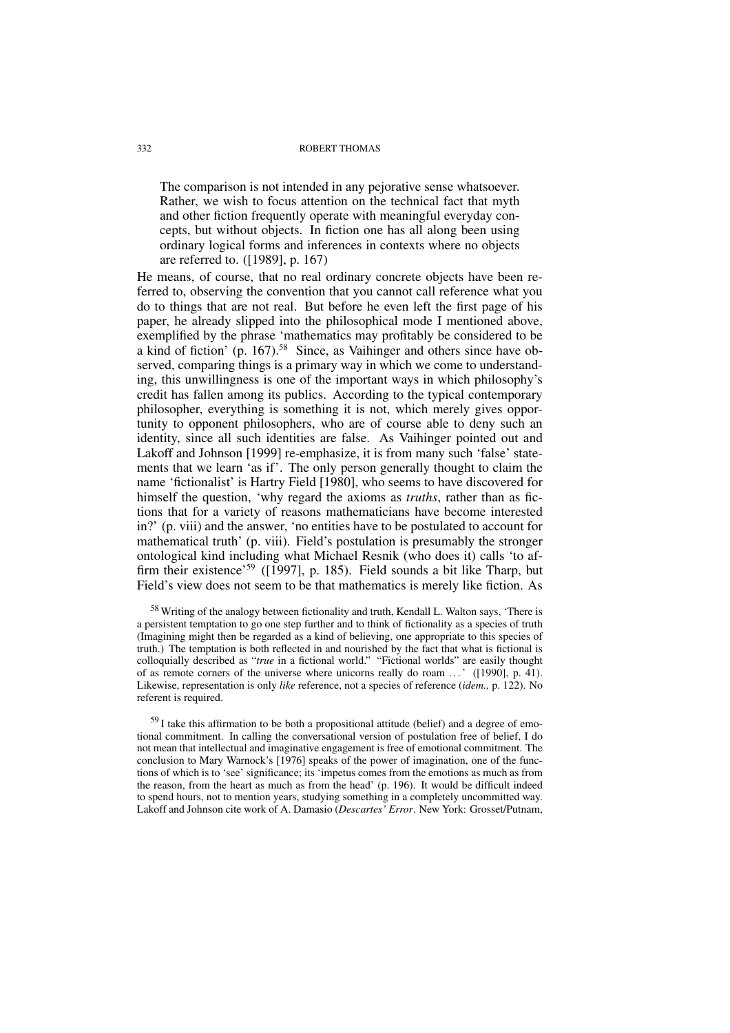The comparison is not intended in any pejorative sense whatsoever. Rather, we wish to focus attention on the technical fact that myth and other fiction frequently operate with meaningful everyday concepts, but without objects. In fiction one has all along been using ordinary logical forms and inferences in contexts where no objects are referred to. ([1989], p. 167)

He means, of course, that no real ordinary concrete objects have been referred to, observing the convention that you cannot call reference what you do to things that are not real. But before he even left the first page of his paper, he already slipped into the philosophical mode I mentioned above, exemplified by the phrase 'mathematics may profitably be considered to be a kind of fiction' (p. 167).<sup>58</sup> Since, as Vaihinger and others since have observed, comparing things is a primary way in which we come to understanding, this unwillingness is one of the important ways in which philosophy's credit has fallen among its publics. According to the typical contemporary philosopher, everything is something it is not, which merely gives opportunity to opponent philosophers, who are of course able to deny such an identity, since all such identities are false. As Vaihinger pointed out and Lakoff and Johnson [1999] re-emphasize, it is from many such 'false' statements that we learn 'as if'. The only person generally thought to claim the name 'fictionalist' is Hartry Field [1980], who seems to have discovered for himself the question, 'why regard the axioms as *truths*, rather than as fictions that for a variety of reasons mathematicians have become interested in?' (p. viii) and the answer, 'no entities have to be postulated to account for mathematical truth' (p. viii). Field's postulation is presumably the stronger ontological kind including what Michael Resnik (who does it) calls 'to affirm their existence'<sup>59</sup> ([1997], p. 185). Field sounds a bit like Tharp, but Field's view does not seem to be that mathematics is merely like fiction. As

<sup>58</sup> Writing of the analogy between fictionality and truth, Kendall L. Walton says, 'There is a persistent temptation to go one step further and to think of fictionality as a species of truth (Imagining might then be regarded as a kind of believing, one appropriate to this species of truth.) The temptation is both reflected in and nourished by the fact that what is fictional is colloquially described as "*true* in a fictional world." "Fictional worlds" are easily thought of as remote corners of the universe where unicorns really do roam ...' ([1990], p. 41). Likewise, representation is only *like* reference, not a species of reference (*idem.,* p. 122). No referent is required.

 $59$  I take this affirmation to be both a propositional attitude (belief) and a degree of emotional commitment. In calling the conversational version of postulation free of belief, I do not mean that intellectual and imaginative engagement is free of emotional commitment. The conclusion to Mary Warnock's [1976] speaks of the power of imagination, one of the functions of which is to 'see' significance; its 'impetus comes from the emotions as much as from the reason, from the heart as much as from the head' (p. 196). It would be difficult indeed to spend hours, not to mention years, studying something in a completely uncommitted way. Lakoff and Johnson cite work of A. Damasio (*Descartes' Error*. New York: Grosset/Putnam,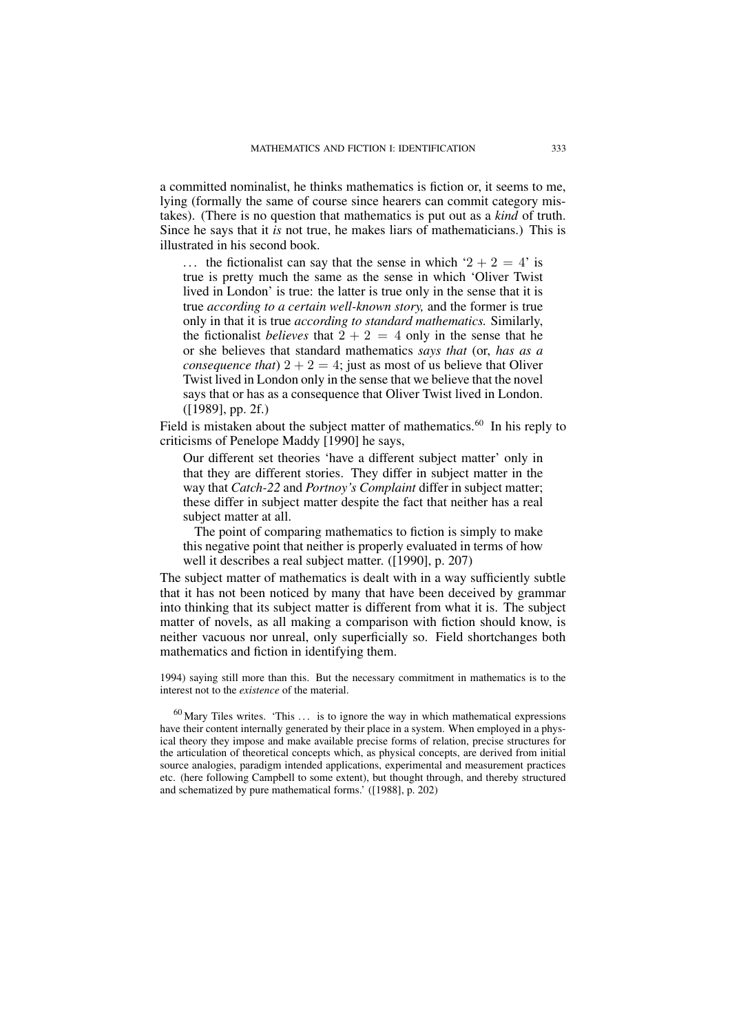a committed nominalist, he thinks mathematics is fiction or, it seems to me, lying (formally the same of course since hearers can commit category mistakes). (There is no question that mathematics is put out as a *kind* of truth. Since he says that it *is* not true, he makes liars of mathematicians.) This is illustrated in his second book.

... the fictionalist can say that the sense in which ' $2 + 2 = 4$ ' is true is pretty much the same as the sense in which 'Oliver Twist lived in London' is true: the latter is true only in the sense that it is true *according to a certain well-known story,* and the former is true only in that it is true *according to standard mathematics.* Similarly, the fictionalist *believes* that  $2 + 2 = 4$  only in the sense that he or she believes that standard mathematics *says that* (or, *has as a consequence that*)  $2 + 2 = 4$ ; just as most of us believe that Oliver Twist lived in London only in the sense that we believe that the novel says that or has as a consequence that Oliver Twist lived in London. ([1989], pp. 2f.)

Field is mistaken about the subject matter of mathematics.<sup>60</sup> In his reply to criticisms of Penelope Maddy [1990] he says,

Our different set theories 'have a different subject matter' only in that they are different stories. They differ in subject matter in the way that *Catch-22* and *Portnoy's Complaint* differ in subject matter; these differ in subject matter despite the fact that neither has a real subject matter at all.

The point of comparing mathematics to fiction is simply to make this negative point that neither is properly evaluated in terms of how well it describes a real subject matter. ([1990], p. 207)

The subject matter of mathematics is dealt with in a way sufficiently subtle that it has not been noticed by many that have been deceived by grammar into thinking that its subject matter is different from what it is. The subject matter of novels, as all making a comparison with fiction should know, is neither vacuous nor unreal, only superficially so. Field shortchanges both mathematics and fiction in identifying them.

1994) saying still more than this. But the necessary commitment in mathematics is to the interest not to the *existence* of the material.

 $^{60}$  Mary Tiles writes. 'This ... is to ignore the way in which mathematical expressions have their content internally generated by their place in a system. When employed in a physical theory they impose and make available precise forms of relation, precise structures for the articulation of theoretical concepts which, as physical concepts, are derived from initial source analogies, paradigm intended applications, experimental and measurement practices etc. (here following Campbell to some extent), but thought through, and thereby structured and schematized by pure mathematical forms.' ([1988], p. 202)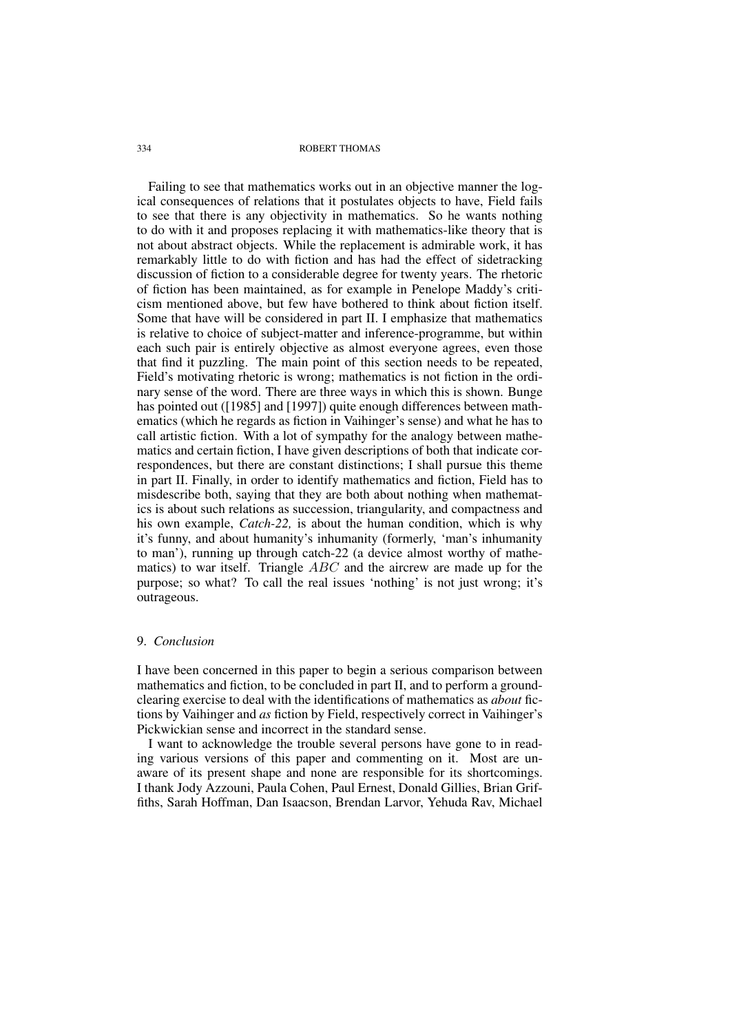Failing to see that mathematics works out in an objective manner the logical consequences of relations that it postulates objects to have, Field fails to see that there is any objectivity in mathematics. So he wants nothing to do with it and proposes replacing it with mathematics-like theory that is not about abstract objects. While the replacement is admirable work, it has remarkably little to do with fiction and has had the effect of sidetracking discussion of fiction to a considerable degree for twenty years. The rhetoric of fiction has been maintained, as for example in Penelope Maddy's criticism mentioned above, but few have bothered to think about fiction itself. Some that have will be considered in part II. I emphasize that mathematics is relative to choice of subject-matter and inference-programme, but within each such pair is entirely objective as almost everyone agrees, even those that find it puzzling. The main point of this section needs to be repeated, Field's motivating rhetoric is wrong; mathematics is not fiction in the ordinary sense of the word. There are three ways in which this is shown. Bunge has pointed out ([1985] and [1997]) quite enough differences between mathematics (which he regards as fiction in Vaihinger's sense) and what he has to call artistic fiction. With a lot of sympathy for the analogy between mathematics and certain fiction, I have given descriptions of both that indicate correspondences, but there are constant distinctions; I shall pursue this theme in part II. Finally, in order to identify mathematics and fiction, Field has to misdescribe both, saying that they are both about nothing when mathematics is about such relations as succession, triangularity, and compactness and his own example, *Catch-22,* is about the human condition, which is why it's funny, and about humanity's inhumanity (formerly, 'man's inhumanity to man'), running up through catch-22 (a device almost worthy of mathematics) to war itself. Triangle ABC and the aircrew are made up for the purpose; so what? To call the real issues 'nothing' is not just wrong; it's outrageous.

### 9. *Conclusion*

I have been concerned in this paper to begin a serious comparison between mathematics and fiction, to be concluded in part II, and to perform a groundclearing exercise to deal with the identifications of mathematics as *about* fictions by Vaihinger and *as* fiction by Field, respectively correct in Vaihinger's Pickwickian sense and incorrect in the standard sense.

I want to acknowledge the trouble several persons have gone to in reading various versions of this paper and commenting on it. Most are unaware of its present shape and none are responsible for its shortcomings. I thank Jody Azzouni, Paula Cohen, Paul Ernest, Donald Gillies, Brian Griffiths, Sarah Hoffman, Dan Isaacson, Brendan Larvor, Yehuda Rav, Michael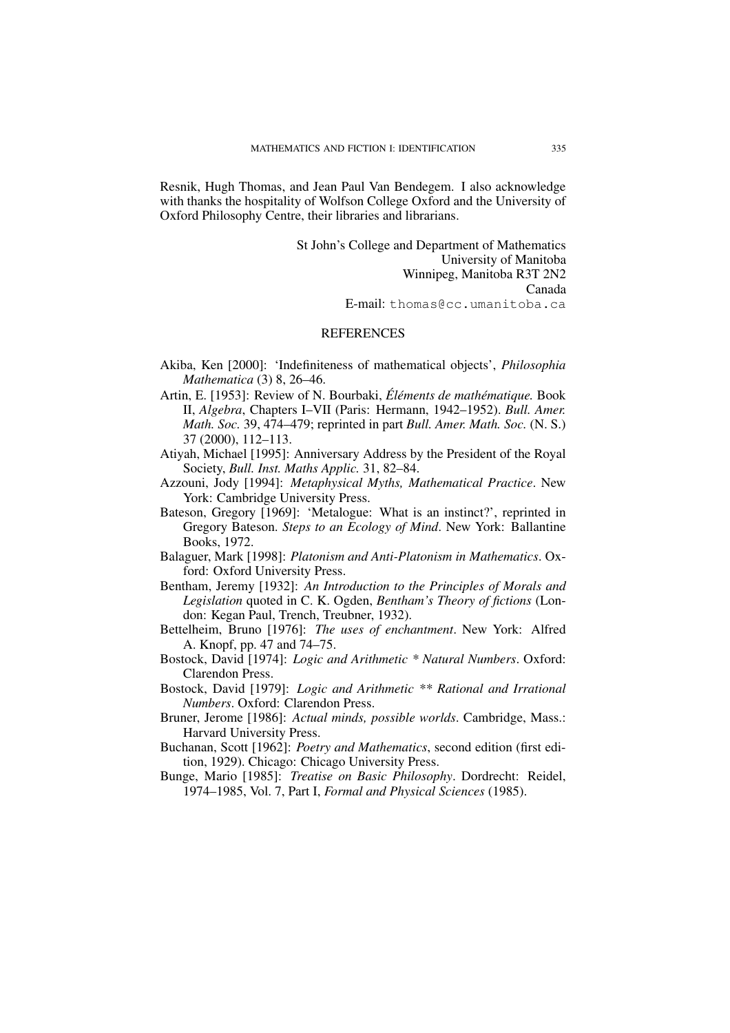Resnik, Hugh Thomas, and Jean Paul Van Bendegem. I also acknowledge with thanks the hospitality of Wolfson College Oxford and the University of Oxford Philosophy Centre, their libraries and librarians.

> St John's College and Department of Mathematics University of Manitoba Winnipeg, Manitoba R3T 2N2 Canada E-mail: thomas@cc.umanitoba.ca

## **REFERENCES**

- Akiba, Ken [2000]: 'Indefiniteness of mathematical objects', *Philosophia Mathematica* (3) 8, 26–46.
- Artin, E. [1953]: Review of N. Bourbaki, *Éléments de mathématique.* Book II, *Algebra*, Chapters I–VII (Paris: Hermann, 1942–1952). *Bull. Amer. Math. Soc.* 39, 474–479; reprinted in part *Bull. Amer. Math. Soc.* (N. S.) 37 (2000), 112–113.
- Atiyah, Michael [1995]: Anniversary Address by the President of the Royal Society, *Bull. Inst. Maths Applic.* 31, 82–84.
- Azzouni, Jody [1994]: *Metaphysical Myths, Mathematical Practice*. New York: Cambridge University Press.
- Bateson, Gregory [1969]: 'Metalogue: What is an instinct?', reprinted in Gregory Bateson. *Steps to an Ecology of Mind*. New York: Ballantine Books, 1972.
- Balaguer, Mark [1998]: *Platonism and Anti-Platonism in Mathematics*. Oxford: Oxford University Press.
- Bentham, Jeremy [1932]: *An Introduction to the Principles of Morals and Legislation* quoted in C. K. Ogden, *Bentham's Theory of fictions* (London: Kegan Paul, Trench, Treubner, 1932).
- Bettelheim, Bruno [1976]: *The uses of enchantment*. New York: Alfred A. Knopf, pp. 47 and 74–75.
- Bostock, David [1974]: *Logic and Arithmetic \* Natural Numbers*. Oxford: Clarendon Press.
- Bostock, David [1979]: *Logic and Arithmetic \*\* Rational and Irrational Numbers*. Oxford: Clarendon Press.
- Bruner, Jerome [1986]: *Actual minds, possible worlds*. Cambridge, Mass.: Harvard University Press.
- Buchanan, Scott [1962]: *Poetry and Mathematics*, second edition (first edition, 1929). Chicago: Chicago University Press.
- Bunge, Mario [1985]: *Treatise on Basic Philosophy*. Dordrecht: Reidel, 1974–1985, Vol. 7, Part I, *Formal and Physical Sciences* (1985).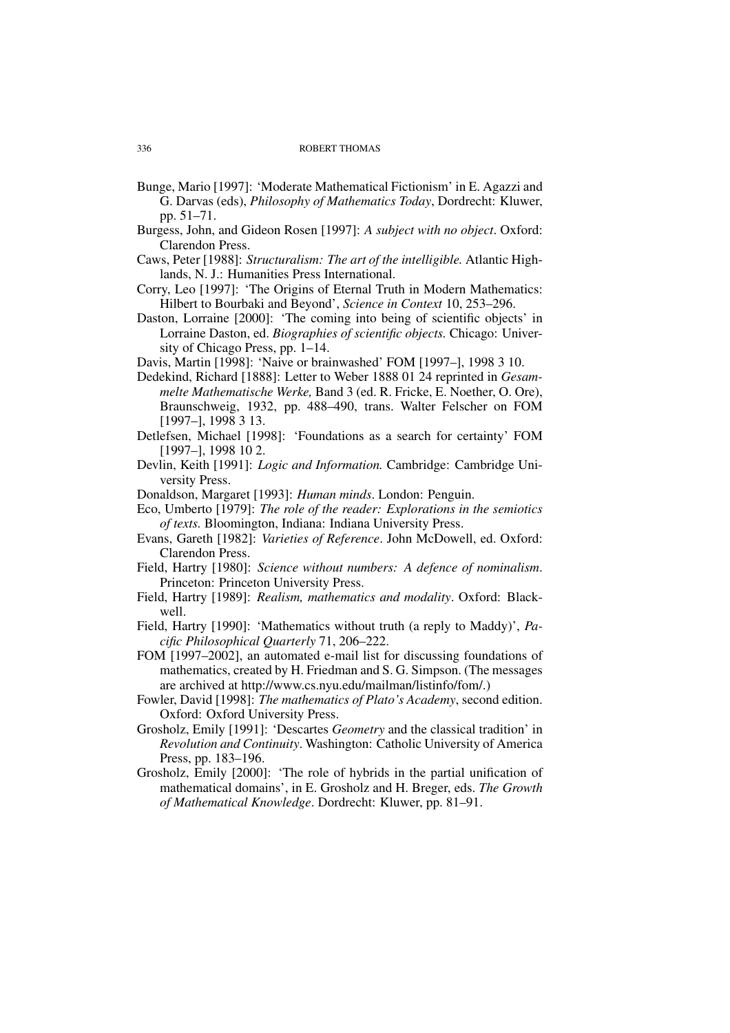- Bunge, Mario [1997]: 'Moderate Mathematical Fictionism' in E. Agazzi and G. Darvas (eds), *Philosophy of Mathematics Today*, Dordrecht: Kluwer, pp. 51–71.
- Burgess, John, and Gideon Rosen [1997]: *A subject with no object*. Oxford: Clarendon Press.
- Caws, Peter [1988]: *Structuralism: The art of the intelligible.* Atlantic Highlands, N. J.: Humanities Press International.
- Corry, Leo [1997]: 'The Origins of Eternal Truth in Modern Mathematics: Hilbert to Bourbaki and Beyond', *Science in Context* 10, 253–296.
- Daston, Lorraine [2000]: 'The coming into being of scientific objects' in Lorraine Daston, ed. *Biographies of scientific objects.* Chicago: University of Chicago Press, pp. 1–14.
- Davis, Martin [1998]: 'Naive or brainwashed' FOM [1997–], 1998 3 10.
- Dedekind, Richard [1888]: Letter to Weber 1888 01 24 reprinted in *Gesammelte Mathematische Werke,* Band 3 (ed. R. Fricke, E. Noether, O. Ore), Braunschweig, 1932, pp. 488–490, trans. Walter Felscher on FOM [1997–], 1998 3 13.
- Detlefsen, Michael [1998]: 'Foundations as a search for certainty' FOM [1997–], 1998 10 2.
- Devlin, Keith [1991]: *Logic and Information.* Cambridge: Cambridge University Press.
- Donaldson, Margaret [1993]: *Human minds*. London: Penguin.
- Eco, Umberto [1979]: *The role of the reader: Explorations in the semiotics of texts.* Bloomington, Indiana: Indiana University Press.
- Evans, Gareth [1982]: *Varieties of Reference*. John McDowell, ed. Oxford: Clarendon Press.
- Field, Hartry [1980]: *Science without numbers: A defence of nominalism*. Princeton: Princeton University Press.
- Field, Hartry [1989]: *Realism, mathematics and modality*. Oxford: Blackwell.
- Field, Hartry [1990]: 'Mathematics without truth (a reply to Maddy)', *Pacific Philosophical Quarterly* 71, 206–222.
- FOM [1997–2002], an automated e-mail list for discussing foundations of mathematics, created by H. Friedman and S. G. Simpson. (The messages are archived at http://www.cs.nyu.edu/mailman/listinfo/fom/.)
- Fowler, David [1998]: *The mathematics of Plato's Academy*, second edition. Oxford: Oxford University Press.
- Grosholz, Emily [1991]: 'Descartes *Geometry* and the classical tradition' in *Revolution and Continuity*. Washington: Catholic University of America Press, pp. 183–196.
- Grosholz, Emily [2000]: 'The role of hybrids in the partial unification of mathematical domains', in E. Grosholz and H. Breger, eds. *The Growth of Mathematical Knowledge*. Dordrecht: Kluwer, pp. 81–91.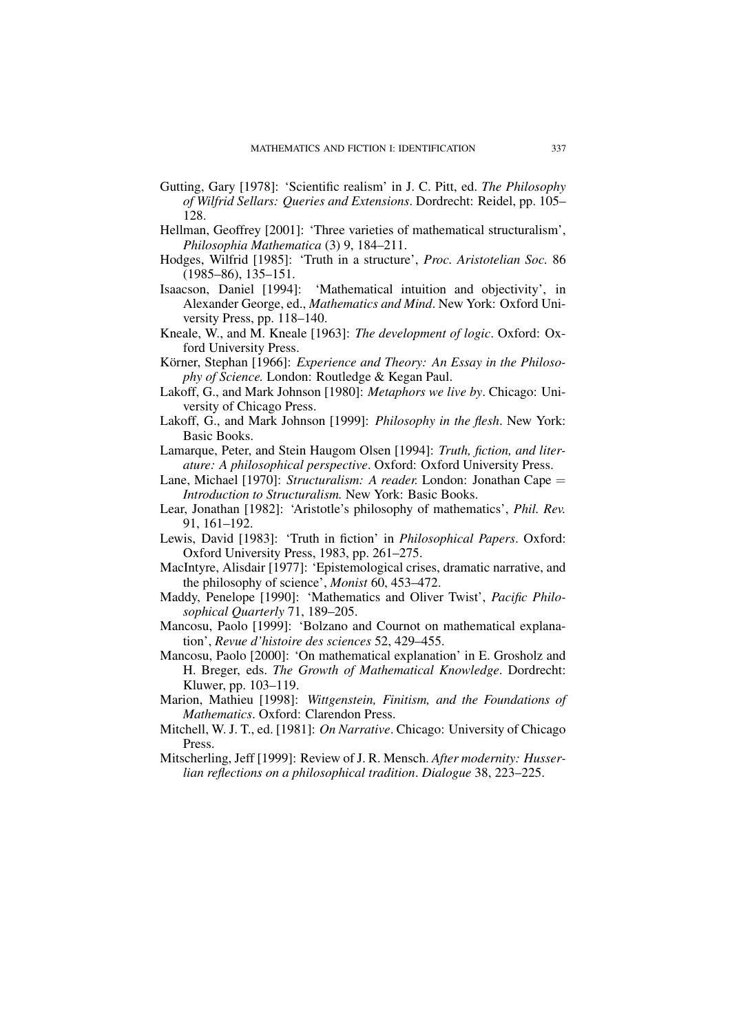- Gutting, Gary [1978]: 'Scientific realism' in J. C. Pitt, ed. *The Philosophy of Wilfrid Sellars: Queries and Extensions*. Dordrecht: Reidel, pp. 105– 128.
- Hellman, Geoffrey [2001]: 'Three varieties of mathematical structuralism', *Philosophia Mathematica* (3) 9, 184–211.
- Hodges, Wilfrid [1985]: 'Truth in a structure', *Proc. Aristotelian Soc.* 86 (1985–86), 135–151.
- Isaacson, Daniel [1994]: 'Mathematical intuition and objectivity', in Alexander George, ed., *Mathematics and Mind*. New York: Oxford University Press, pp. 118–140.
- Kneale, W., and M. Kneale [1963]: *The development of logic*. Oxford: Oxford University Press.
- Körner, Stephan [1966]: *Experience and Theory: An Essay in the Philosophy of Science.* London: Routledge & Kegan Paul.
- Lakoff, G., and Mark Johnson [1980]: *Metaphors we live by*. Chicago: University of Chicago Press.
- Lakoff, G., and Mark Johnson [1999]: *Philosophy in the flesh*. New York: Basic Books.
- Lamarque, Peter, and Stein Haugom Olsen [1994]: *Truth, fiction, and literature: A philosophical perspective*. Oxford: Oxford University Press.
- Lane, Michael [1970]: *Structuralism: A reader.* London: Jonathan Cape = *Introduction to Structuralism.* New York: Basic Books.
- Lear, Jonathan [1982]: 'Aristotle's philosophy of mathematics', *Phil. Rev.* 91, 161–192.
- Lewis, David [1983]: 'Truth in fiction' in *Philosophical Papers*. Oxford: Oxford University Press, 1983, pp. 261–275.
- MacIntyre, Alisdair [1977]: 'Epistemological crises, dramatic narrative, and the philosophy of science', *Monist* 60, 453–472.
- Maddy, Penelope [1990]: 'Mathematics and Oliver Twist', *Pacific Philosophical Quarterly* 71, 189–205.
- Mancosu, Paolo [1999]: 'Bolzano and Cournot on mathematical explanation', *Revue d'histoire des sciences* 52, 429–455.
- Mancosu, Paolo [2000]: 'On mathematical explanation' in E. Grosholz and H. Breger, eds. *The Growth of Mathematical Knowledge*. Dordrecht: Kluwer, pp. 103–119.
- Marion, Mathieu [1998]: *Wittgenstein, Finitism, and the Foundations of Mathematics*. Oxford: Clarendon Press.
- Mitchell, W. J. T., ed. [1981]: *On Narrative*. Chicago: University of Chicago Press.
- Mitscherling, Jeff [1999]: Review of J. R. Mensch. *After modernity: Husserlian reflections on a philosophical tradition*. *Dialogue* 38, 223–225.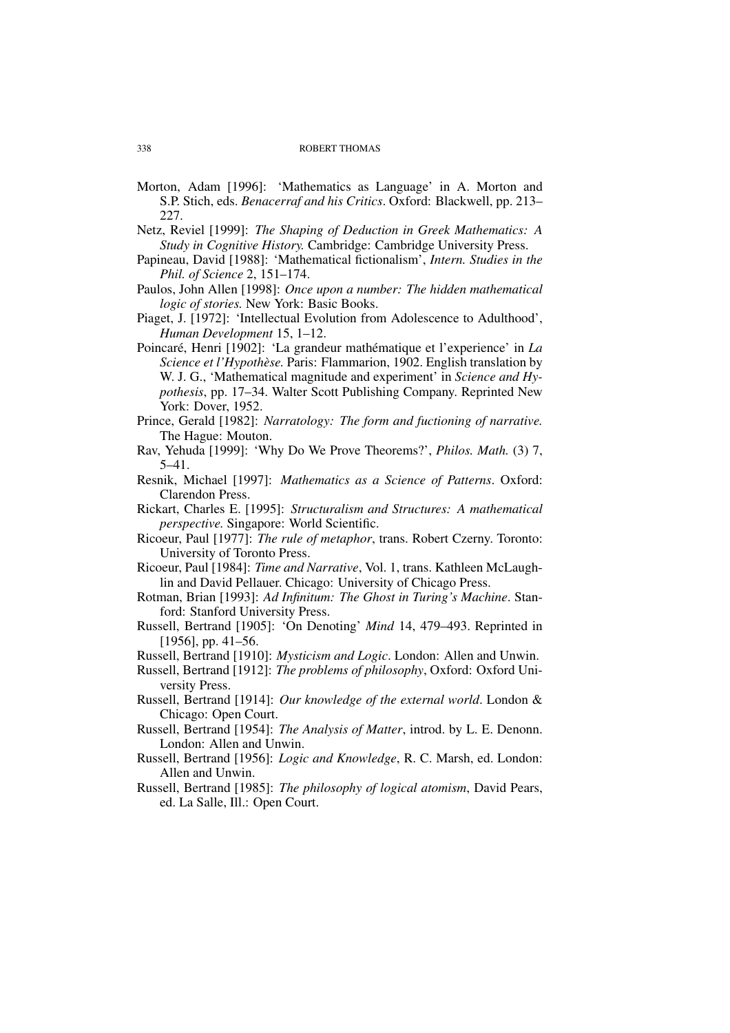- Morton, Adam [1996]: 'Mathematics as Language' in A. Morton and S.P. Stich, eds. *Benacerraf and his Critics*. Oxford: Blackwell, pp. 213– 227.
- Netz, Reviel [1999]: *The Shaping of Deduction in Greek Mathematics: A Study in Cognitive History.* Cambridge: Cambridge University Press.
- Papineau, David [1988]: 'Mathematical fictionalism', *Intern. Studies in the Phil. of Science* 2, 151–174.
- Paulos, John Allen [1998]: *Once upon a number: The hidden mathematical logic of stories.* New York: Basic Books.
- Piaget, J. [1972]: 'Intellectual Evolution from Adolescence to Adulthood', *Human Development* 15, 1–12.
- Poincaré, Henri [1902]: 'La grandeur mathématique et l'experience' in *La Science et l'Hypothèse.* Paris: Flammarion, 1902. English translation by W. J. G., 'Mathematical magnitude and experiment' in *Science and Hypothesis*, pp. 17–34. Walter Scott Publishing Company. Reprinted New York: Dover, 1952.
- Prince, Gerald [1982]: *Narratology: The form and fuctioning of narrative.* The Hague: Mouton.
- Rav, Yehuda [1999]: 'Why Do We Prove Theorems?', *Philos. Math.* (3) 7, 5–41.
- Resnik, Michael [1997]: *Mathematics as a Science of Patterns*. Oxford: Clarendon Press.
- Rickart, Charles E. [1995]: *Structuralism and Structures: A mathematical perspective.* Singapore: World Scientific.
- Ricoeur, Paul [1977]: *The rule of metaphor*, trans. Robert Czerny. Toronto: University of Toronto Press.
- Ricoeur, Paul [1984]: *Time and Narrative*, Vol. 1, trans. Kathleen McLaughlin and David Pellauer. Chicago: University of Chicago Press.
- Rotman, Brian [1993]: *Ad Infinitum: The Ghost in Turing's Machine*. Stanford: Stanford University Press.
- Russell, Bertrand [1905]: 'On Denoting' *Mind* 14, 479–493. Reprinted in [1956], pp. 41–56.

Russell, Bertrand [1910]: *Mysticism and Logic*. London: Allen and Unwin.

- Russell, Bertrand [1912]: *The problems of philosophy*, Oxford: Oxford University Press.
- Russell, Bertrand [1914]: *Our knowledge of the external world*. London & Chicago: Open Court.
- Russell, Bertrand [1954]: *The Analysis of Matter*, introd. by L. E. Denonn. London: Allen and Unwin.
- Russell, Bertrand [1956]: *Logic and Knowledge*, R. C. Marsh, ed. London: Allen and Unwin.
- Russell, Bertrand [1985]: *The philosophy of logical atomism*, David Pears, ed. La Salle, Ill.: Open Court.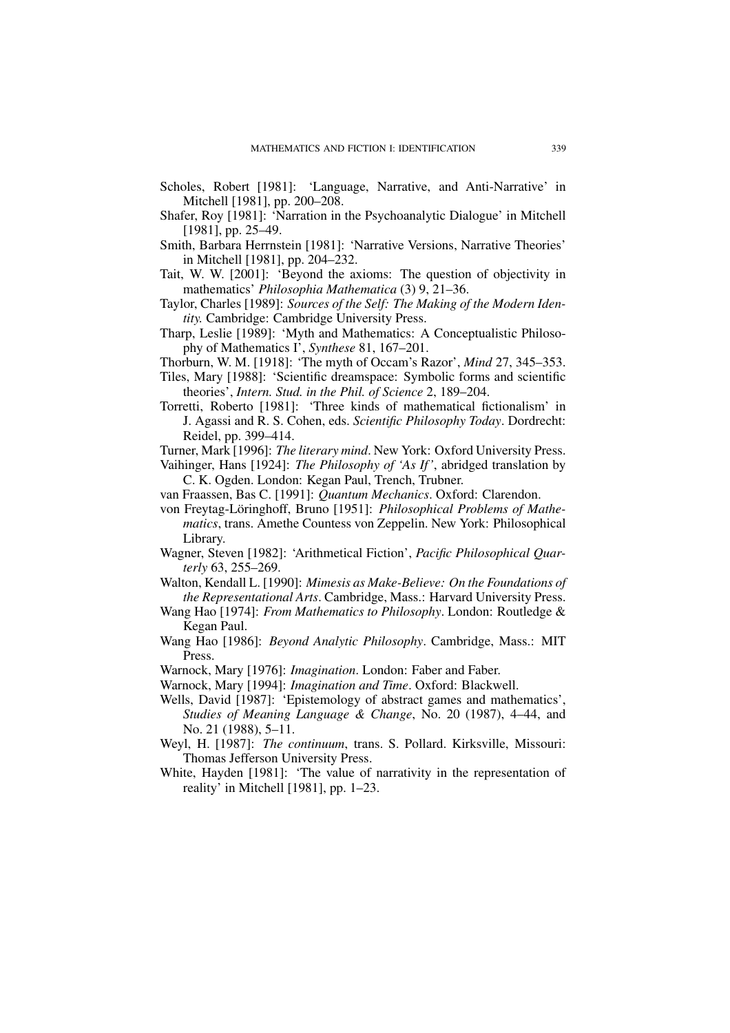- Scholes, Robert [1981]: 'Language, Narrative, and Anti-Narrative' in Mitchell [1981], pp. 200–208.
- Shafer, Roy [1981]: 'Narration in the Psychoanalytic Dialogue' in Mitchell [1981], pp. 25–49.
- Smith, Barbara Herrnstein [1981]: 'Narrative Versions, Narrative Theories' in Mitchell [1981], pp. 204–232.
- Tait, W. W. [2001]: 'Beyond the axioms: The question of objectivity in mathematics' *Philosophia Mathematica* (3) 9, 21–36.
- Taylor, Charles [1989]: *Sources of the Self: The Making of the Modern Identity.* Cambridge: Cambridge University Press.
- Tharp, Leslie [1989]: 'Myth and Mathematics: A Conceptualistic Philosophy of Mathematics I', *Synthese* 81, 167–201.
- Thorburn, W. M. [1918]: 'The myth of Occam's Razor', *Mind* 27, 345–353.
- Tiles, Mary [1988]: 'Scientific dreamspace: Symbolic forms and scientific theories', *Intern. Stud. in the Phil. of Science* 2, 189–204.
- Torretti, Roberto [1981]: 'Three kinds of mathematical fictionalism' in J. Agassi and R. S. Cohen, eds. *Scientific Philosophy Today*. Dordrecht: Reidel, pp. 399–414.
- Turner, Mark [1996]: *The literary mind*. New York: Oxford University Press.
- Vaihinger, Hans [1924]: *The Philosophy of 'As If'*, abridged translation by C. K. Ogden. London: Kegan Paul, Trench, Trubner.
- van Fraassen, Bas C. [1991]: *Quantum Mechanics*. Oxford: Clarendon.
- von Freytag-Löringhoff, Bruno [1951]: *Philosophical Problems of Mathematics*, trans. Amethe Countess von Zeppelin. New York: Philosophical Library.
- Wagner, Steven [1982]: 'Arithmetical Fiction', *Pacific Philosophical Quarterly* 63, 255–269.
- Walton, Kendall L. [1990]: *Mimesis as Make-Believe: On the Foundations of the Representational Arts*. Cambridge, Mass.: Harvard University Press.
- Wang Hao [1974]: *From Mathematics to Philosophy*. London: Routledge & Kegan Paul.
- Wang Hao [1986]: *Beyond Analytic Philosophy*. Cambridge, Mass.: MIT Press.
- Warnock, Mary [1976]: *Imagination*. London: Faber and Faber.
- Warnock, Mary [1994]: *Imagination and Time*. Oxford: Blackwell.
- Wells, David [1987]: 'Epistemology of abstract games and mathematics', *Studies of Meaning Language & Change*, No. 20 (1987), 4–44, and No. 21 (1988), 5–11.
- Weyl, H. [1987]: *The continuum*, trans. S. Pollard. Kirksville, Missouri: Thomas Jefferson University Press.
- White, Hayden [1981]: 'The value of narrativity in the representation of reality' in Mitchell [1981], pp. 1–23.